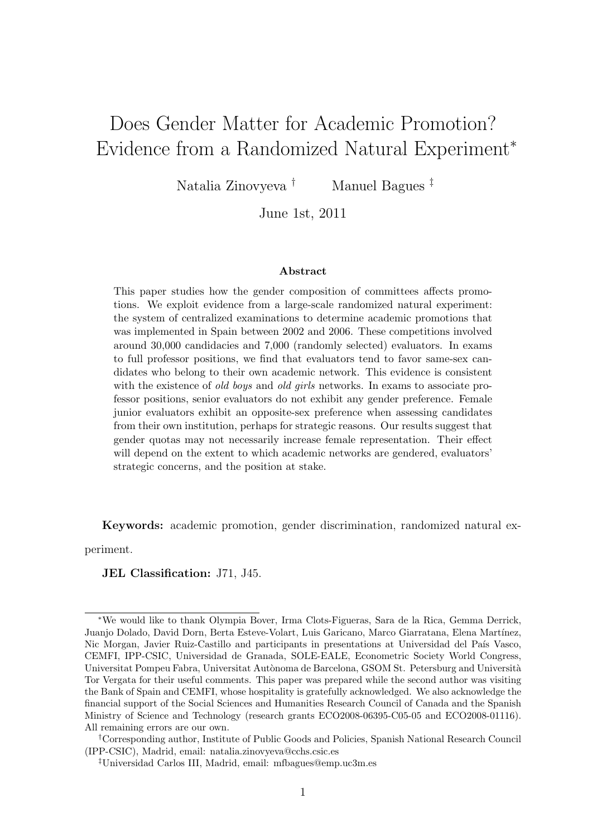# Does Gender Matter for Academic Promotion? Evidence from a Randomized Natural Experiment<sup>∗</sup>

Natalia Zinovyeva † Manuel Bagues ‡

June 1st, 2011

#### Abstract

This paper studies how the gender composition of committees affects promotions. We exploit evidence from a large-scale randomized natural experiment: the system of centralized examinations to determine academic promotions that was implemented in Spain between 2002 and 2006. These competitions involved around 30,000 candidacies and 7,000 (randomly selected) evaluators. In exams to full professor positions, we find that evaluators tend to favor same-sex candidates who belong to their own academic network. This evidence is consistent with the existence of old boys and old girls networks. In exams to associate professor positions, senior evaluators do not exhibit any gender preference. Female junior evaluators exhibit an opposite-sex preference when assessing candidates from their own institution, perhaps for strategic reasons. Our results suggest that gender quotas may not necessarily increase female representation. Their effect will depend on the extent to which academic networks are gendered, evaluators' strategic concerns, and the position at stake.

Keywords: academic promotion, gender discrimination, randomized natural ex-

periment.

### JEL Classification: J71, J45.

<sup>∗</sup>We would like to thank Olympia Bover, Irma Clots-Figueras, Sara de la Rica, Gemma Derrick, Juanjo Dolado, David Dorn, Berta Esteve-Volart, Luis Garicano, Marco Giarratana, Elena Martínez, Nic Morgan, Javier Ruiz-Castillo and participants in presentations at Universidad del País Vasco, CEMFI, IPP-CSIC, Universidad de Granada, SOLE-EALE, Econometric Society World Congress, Universitat Pompeu Fabra, Universitat Autònoma de Barcelona, GSOM St. Petersburg and Università Tor Vergata for their useful comments. This paper was prepared while the second author was visiting the Bank of Spain and CEMFI, whose hospitality is gratefully acknowledged. We also acknowledge the financial support of the Social Sciences and Humanities Research Council of Canada and the Spanish Ministry of Science and Technology (research grants ECO2008-06395-C05-05 and ECO2008-01116). All remaining errors are our own.

<sup>†</sup>Corresponding author, Institute of Public Goods and Policies, Spanish National Research Council (IPP-CSIC), Madrid, email: natalia.zinovyeva@cchs.csic.es

<sup>‡</sup>Universidad Carlos III, Madrid, email: mfbagues@emp.uc3m.es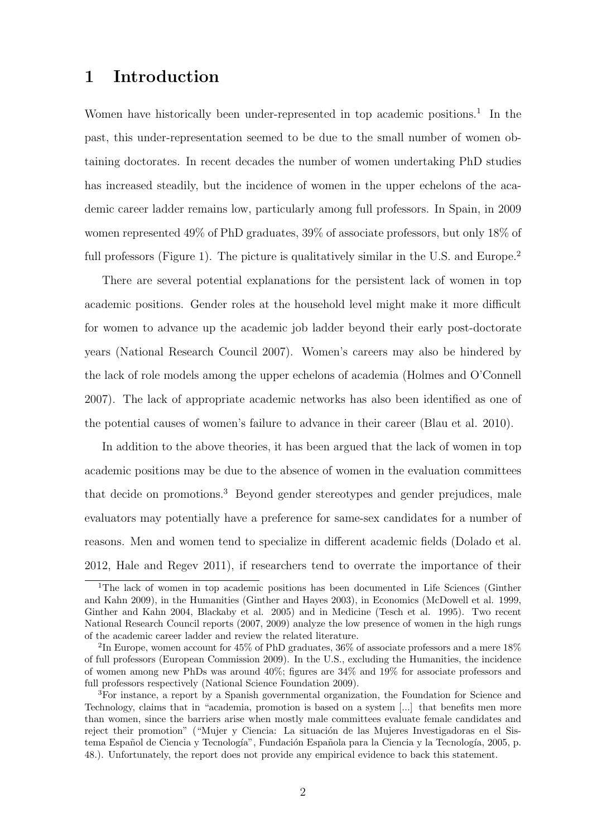## 1 Introduction

Women have historically been under-represented in top academic positions.<sup>1</sup> In the past, this under-representation seemed to be due to the small number of women obtaining doctorates. In recent decades the number of women undertaking PhD studies has increased steadily, but the incidence of women in the upper echelons of the academic career ladder remains low, particularly among full professors. In Spain, in 2009 women represented 49% of PhD graduates, 39% of associate professors, but only 18% of full professors (Figure 1). The picture is qualitatively similar in the U.S. and Europe.<sup>2</sup>

There are several potential explanations for the persistent lack of women in top academic positions. Gender roles at the household level might make it more difficult for women to advance up the academic job ladder beyond their early post-doctorate years (National Research Council 2007). Women's careers may also be hindered by the lack of role models among the upper echelons of academia (Holmes and O'Connell 2007). The lack of appropriate academic networks has also been identified as one of the potential causes of women's failure to advance in their career (Blau et al. 2010).

In addition to the above theories, it has been argued that the lack of women in top academic positions may be due to the absence of women in the evaluation committees that decide on promotions.<sup>3</sup> Beyond gender stereotypes and gender prejudices, male evaluators may potentially have a preference for same-sex candidates for a number of reasons. Men and women tend to specialize in different academic fields (Dolado et al. 2012, Hale and Regev 2011), if researchers tend to overrate the importance of their

<sup>1</sup>The lack of women in top academic positions has been documented in Life Sciences (Ginther and Kahn 2009), in the Humanities (Ginther and Hayes 2003), in Economics (McDowell et al. 1999, Ginther and Kahn 2004, Blackaby et al. 2005) and in Medicine (Tesch et al. 1995). Two recent National Research Council reports (2007, 2009) analyze the low presence of women in the high rungs of the academic career ladder and review the related literature.

<sup>&</sup>lt;sup>2</sup>In Europe, women account for 45% of PhD graduates, 36% of associate professors and a mere 18% of full professors (European Commission 2009). In the U.S., excluding the Humanities, the incidence of women among new PhDs was around 40%; figures are 34% and 19% for associate professors and full professors respectively (National Science Foundation 2009).

<sup>3</sup>For instance, a report by a Spanish governmental organization, the Foundation for Science and Technology, claims that in "academia, promotion is based on a system [...] that benefits men more than women, since the barriers arise when mostly male committees evaluate female candidates and reject their promotion" ("Mujer y Ciencia: La situación de las Mujeres Investigadoras en el Sistema Español de Ciencia y Tecnología", Fundación Española para la Ciencia y la Tecnología, 2005, p. 48.). Unfortunately, the report does not provide any empirical evidence to back this statement.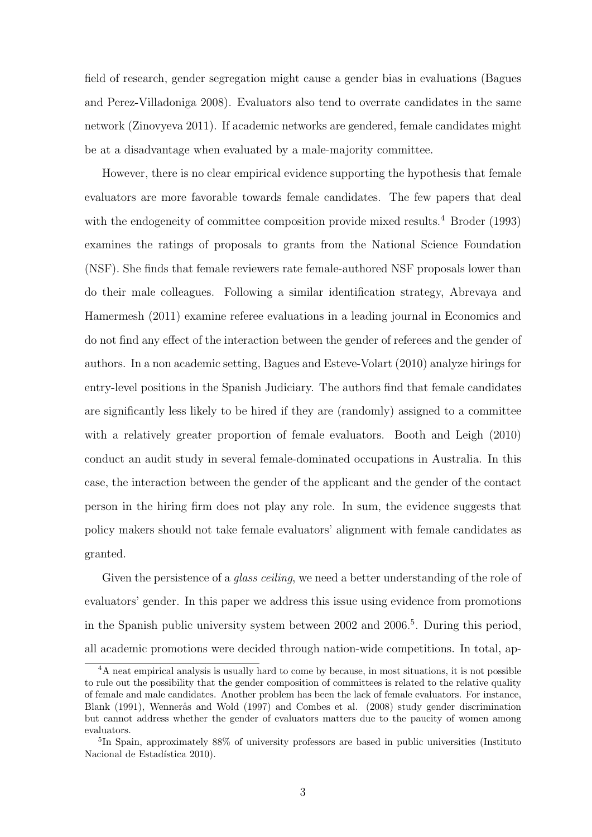field of research, gender segregation might cause a gender bias in evaluations (Bagues and Perez-Villadoniga 2008). Evaluators also tend to overrate candidates in the same network (Zinovyeva 2011). If academic networks are gendered, female candidates might be at a disadvantage when evaluated by a male-majority committee.

However, there is no clear empirical evidence supporting the hypothesis that female evaluators are more favorable towards female candidates. The few papers that deal with the endogeneity of committee composition provide mixed results.<sup>4</sup> Broder (1993) examines the ratings of proposals to grants from the National Science Foundation (NSF). She finds that female reviewers rate female-authored NSF proposals lower than do their male colleagues. Following a similar identification strategy, Abrevaya and Hamermesh (2011) examine referee evaluations in a leading journal in Economics and do not find any effect of the interaction between the gender of referees and the gender of authors. In a non academic setting, Bagues and Esteve-Volart (2010) analyze hirings for entry-level positions in the Spanish Judiciary. The authors find that female candidates are significantly less likely to be hired if they are (randomly) assigned to a committee with a relatively greater proportion of female evaluators. Booth and Leigh (2010) conduct an audit study in several female-dominated occupations in Australia. In this case, the interaction between the gender of the applicant and the gender of the contact person in the hiring firm does not play any role. In sum, the evidence suggests that policy makers should not take female evaluators' alignment with female candidates as granted.

Given the persistence of a *glass ceiling*, we need a better understanding of the role of evaluators' gender. In this paper we address this issue using evidence from promotions in the Spanish public university system between 2002 and 2006.<sup>5</sup>. During this period, all academic promotions were decided through nation-wide competitions. In total, ap-

<sup>&</sup>lt;sup>4</sup>A neat empirical analysis is usually hard to come by because, in most situations, it is not possible to rule out the possibility that the gender composition of committees is related to the relative quality of female and male candidates. Another problem has been the lack of female evaluators. For instance, Blank (1991), Wennerås and Wold (1997) and Combes et al. (2008) study gender discrimination but cannot address whether the gender of evaluators matters due to the paucity of women among evaluators.

<sup>&</sup>lt;sup>5</sup>In Spain, approximately 88% of university professors are based in public universities (Instituto Nacional de Estadística 2010).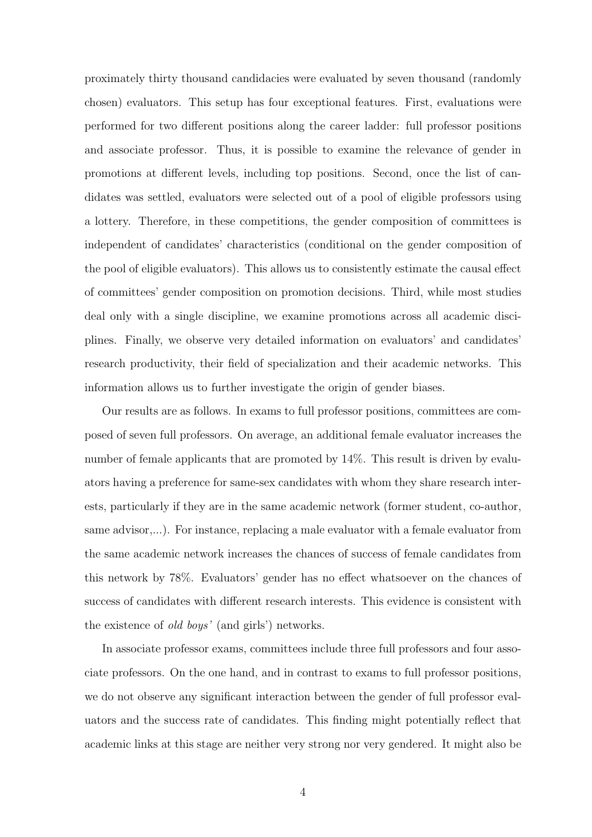proximately thirty thousand candidacies were evaluated by seven thousand (randomly chosen) evaluators. This setup has four exceptional features. First, evaluations were performed for two different positions along the career ladder: full professor positions and associate professor. Thus, it is possible to examine the relevance of gender in promotions at different levels, including top positions. Second, once the list of candidates was settled, evaluators were selected out of a pool of eligible professors using a lottery. Therefore, in these competitions, the gender composition of committees is independent of candidates' characteristics (conditional on the gender composition of the pool of eligible evaluators). This allows us to consistently estimate the causal effect of committees' gender composition on promotion decisions. Third, while most studies deal only with a single discipline, we examine promotions across all academic disciplines. Finally, we observe very detailed information on evaluators' and candidates' research productivity, their field of specialization and their academic networks. This information allows us to further investigate the origin of gender biases.

Our results are as follows. In exams to full professor positions, committees are composed of seven full professors. On average, an additional female evaluator increases the number of female applicants that are promoted by 14%. This result is driven by evaluators having a preference for same-sex candidates with whom they share research interests, particularly if they are in the same academic network (former student, co-author, same advisor,...). For instance, replacing a male evaluator with a female evaluator from the same academic network increases the chances of success of female candidates from this network by 78%. Evaluators' gender has no effect whatsoever on the chances of success of candidates with different research interests. This evidence is consistent with the existence of old boys' (and girls') networks.

In associate professor exams, committees include three full professors and four associate professors. On the one hand, and in contrast to exams to full professor positions, we do not observe any significant interaction between the gender of full professor evaluators and the success rate of candidates. This finding might potentially reflect that academic links at this stage are neither very strong nor very gendered. It might also be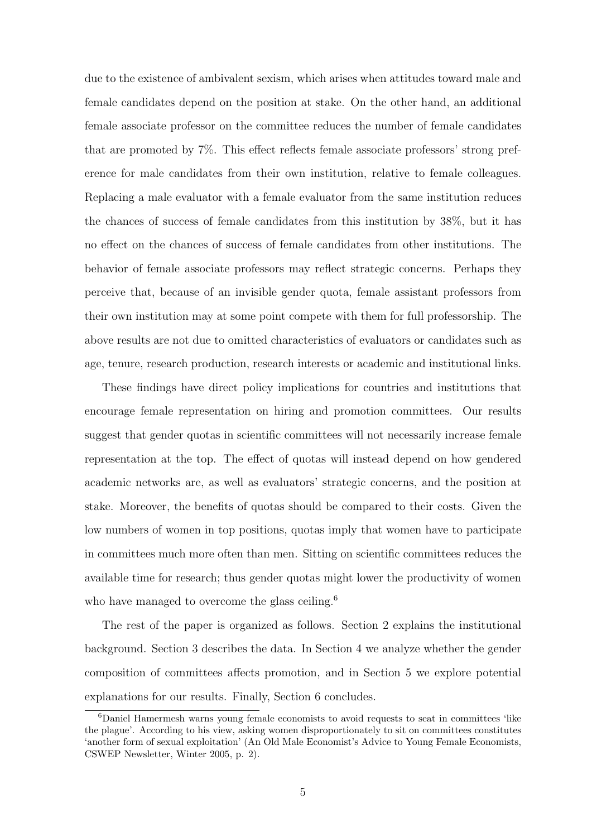due to the existence of ambivalent sexism, which arises when attitudes toward male and female candidates depend on the position at stake. On the other hand, an additional female associate professor on the committee reduces the number of female candidates that are promoted by 7%. This effect reflects female associate professors' strong preference for male candidates from their own institution, relative to female colleagues. Replacing a male evaluator with a female evaluator from the same institution reduces the chances of success of female candidates from this institution by 38%, but it has no effect on the chances of success of female candidates from other institutions. The behavior of female associate professors may reflect strategic concerns. Perhaps they perceive that, because of an invisible gender quota, female assistant professors from their own institution may at some point compete with them for full professorship. The above results are not due to omitted characteristics of evaluators or candidates such as age, tenure, research production, research interests or academic and institutional links.

These findings have direct policy implications for countries and institutions that encourage female representation on hiring and promotion committees. Our results suggest that gender quotas in scientific committees will not necessarily increase female representation at the top. The effect of quotas will instead depend on how gendered academic networks are, as well as evaluators' strategic concerns, and the position at stake. Moreover, the benefits of quotas should be compared to their costs. Given the low numbers of women in top positions, quotas imply that women have to participate in committees much more often than men. Sitting on scientific committees reduces the available time for research; thus gender quotas might lower the productivity of women who have managed to overcome the glass ceiling.<sup>6</sup>

The rest of the paper is organized as follows. Section 2 explains the institutional background. Section 3 describes the data. In Section 4 we analyze whether the gender composition of committees affects promotion, and in Section 5 we explore potential explanations for our results. Finally, Section 6 concludes.

 $6$ Daniel Hamermesh warns young female economists to avoid requests to seat in committees 'like the plague'. According to his view, asking women disproportionately to sit on committees constitutes 'another form of sexual exploitation' (An Old Male Economist's Advice to Young Female Economists, CSWEP Newsletter, Winter 2005, p. 2).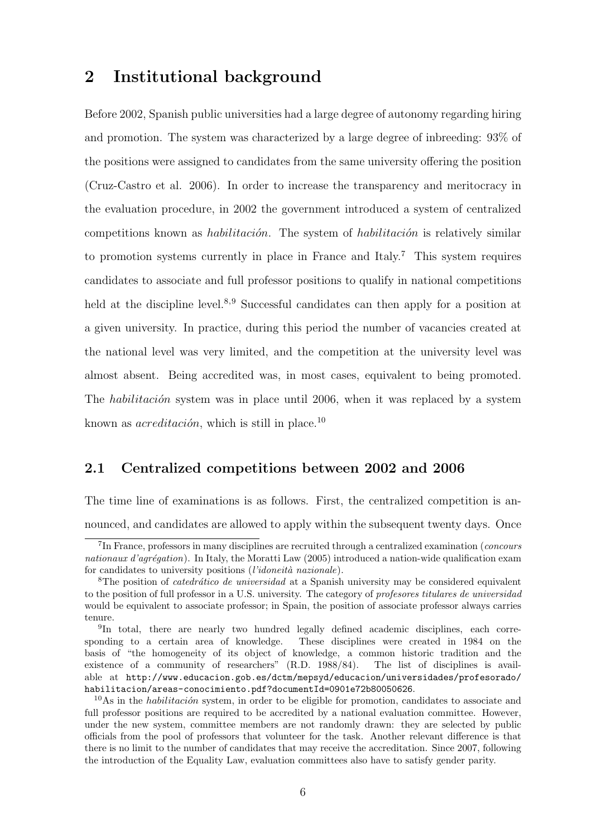## 2 Institutional background

Before 2002, Spanish public universities had a large degree of autonomy regarding hiring and promotion. The system was characterized by a large degree of inbreeding: 93% of the positions were assigned to candidates from the same university offering the position (Cruz-Castro et al. 2006). In order to increase the transparency and meritocracy in the evaluation procedure, in 2002 the government introduced a system of centralized competitions known as *habilitación*. The system of *habilitación* is relatively similar to promotion systems currently in place in France and Italy.<sup>7</sup> This system requires candidates to associate and full professor positions to qualify in national competitions held at the discipline level.<sup>8,9</sup> Successful candidates can then apply for a position at a given university. In practice, during this period the number of vacancies created at the national level was very limited, and the competition at the university level was almost absent. Being accredited was, in most cases, equivalent to being promoted. The *habilitación* system was in place until 2006, when it was replaced by a system known as  $\alpha$ creditación, which is still in place.<sup>10</sup>

## 2.1 Centralized competitions between 2002 and 2006

The time line of examinations is as follows. First, the centralized competition is announced, and candidates are allowed to apply within the subsequent twenty days. Once

<sup>&</sup>lt;sup>7</sup>In France, professors in many disciplines are recruited through a centralized examination (*concours* nationaux d'agrégation). In Italy, the Moratti Law (2005) introduced a nation-wide qualification exam for candidates to university positions  $(l'idoneità\ nazionale)$ .

<sup>&</sup>lt;sup>8</sup>The position of *catedrático de universidad* at a Spanish university may be considered equivalent to the position of full professor in a U.S. university. The category of profesores titulares de universidad would be equivalent to associate professor; in Spain, the position of associate professor always carries tenure.

<sup>&</sup>lt;sup>9</sup>In total, there are nearly two hundred legally defined academic disciplines, each corresponding to a certain area of knowledge. These disciplines were created in 1984 on the basis of "the homogeneity of its object of knowledge, a common historic tradition and the existence of a community of researchers" (R.D. 1988/84). The list of disciplines is available at http://www.educacion.gob.es/dctm/mepsyd/educacion/universidades/profesorado/ habilitacion/areas-conocimiento.pdf?documentId=0901e72b80050626.

 $10\,\text{As}$  in the *habilitación* system, in order to be eligible for promotion, candidates to associate and full professor positions are required to be accredited by a national evaluation committee. However, under the new system, committee members are not randomly drawn: they are selected by public officials from the pool of professors that volunteer for the task. Another relevant difference is that there is no limit to the number of candidates that may receive the accreditation. Since 2007, following the introduction of the Equality Law, evaluation committees also have to satisfy gender parity.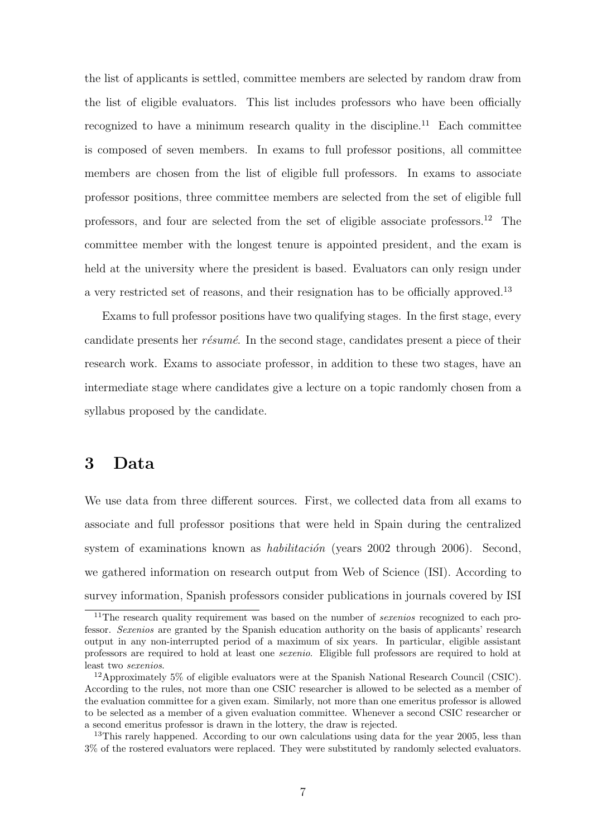the list of applicants is settled, committee members are selected by random draw from the list of eligible evaluators. This list includes professors who have been officially recognized to have a minimum research quality in the discipline.<sup>11</sup> Each committee is composed of seven members. In exams to full professor positions, all committee members are chosen from the list of eligible full professors. In exams to associate professor positions, three committee members are selected from the set of eligible full professors, and four are selected from the set of eligible associate professors.<sup>12</sup> The committee member with the longest tenure is appointed president, and the exam is held at the university where the president is based. Evaluators can only resign under a very restricted set of reasons, and their resignation has to be officially approved.<sup>13</sup>

Exams to full professor positions have two qualifying stages. In the first stage, every candidate presents her résumé. In the second stage, candidates present a piece of their research work. Exams to associate professor, in addition to these two stages, have an intermediate stage where candidates give a lecture on a topic randomly chosen from a syllabus proposed by the candidate.

## 3 Data

We use data from three different sources. First, we collected data from all exams to associate and full professor positions that were held in Spain during the centralized system of examinations known as *habilitación* (years  $2002$  through 2006). Second, we gathered information on research output from Web of Science (ISI). According to survey information, Spanish professors consider publications in journals covered by ISI

 $11$ The research quality requirement was based on the number of *sexenios* recognized to each professor. Sexenios are granted by the Spanish education authority on the basis of applicants' research output in any non-interrupted period of a maximum of six years. In particular, eligible assistant professors are required to hold at least one sexenio. Eligible full professors are required to hold at least two sexenios.

<sup>12</sup>Approximately 5% of eligible evaluators were at the Spanish National Research Council (CSIC). According to the rules, not more than one CSIC researcher is allowed to be selected as a member of the evaluation committee for a given exam. Similarly, not more than one emeritus professor is allowed to be selected as a member of a given evaluation committee. Whenever a second CSIC researcher or a second emeritus professor is drawn in the lottery, the draw is rejected.

<sup>&</sup>lt;sup>13</sup>This rarely happened. According to our own calculations using data for the year 2005, less than 3% of the rostered evaluators were replaced. They were substituted by randomly selected evaluators.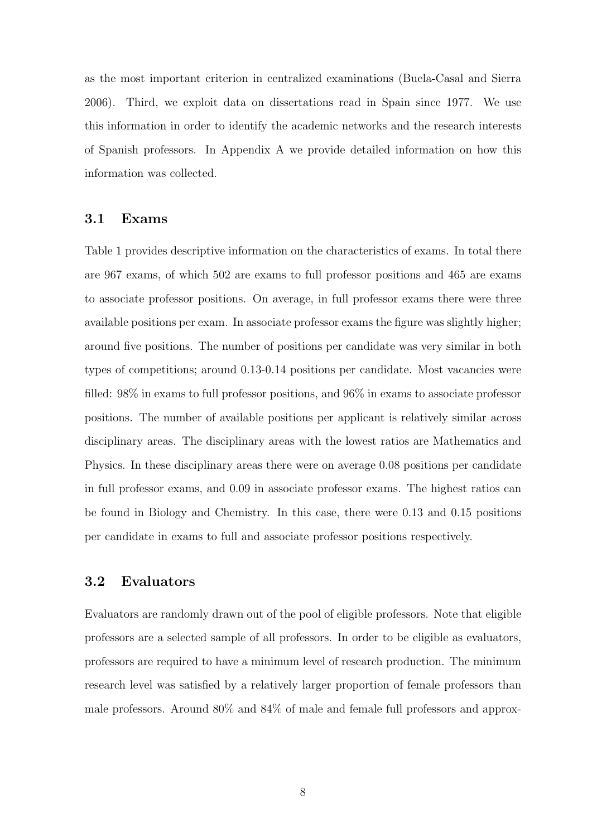as the most important criterion in centralized examinations (Buela-Casal and Sierra 2006). Third, we exploit data on dissertations read in Spain since 1977. We use this information in order to identify the academic networks and the research interests of Spanish professors. In Appendix A we provide detailed information on how this information was collected.

## 3.1 Exams

Table 1 provides descriptive information on the characteristics of exams. In total there are 967 exams, of which 502 are exams to full professor positions and 465 are exams to associate professor positions. On average, in full professor exams there were three available positions per exam. In associate professor exams the figure was slightly higher; around five positions. The number of positions per candidate was very similar in both types of competitions; around 0.13-0.14 positions per candidate. Most vacancies were filled: 98% in exams to full professor positions, and 96% in exams to associate professor positions. The number of available positions per applicant is relatively similar across disciplinary areas. The disciplinary areas with the lowest ratios are Mathematics and Physics. In these disciplinary areas there were on average 0.08 positions per candidate in full professor exams, and 0.09 in associate professor exams. The highest ratios can be found in Biology and Chemistry. In this case, there were 0.13 and 0.15 positions per candidate in exams to full and associate professor positions respectively.

## 3.2 Evaluators

Evaluators are randomly drawn out of the pool of eligible professors. Note that eligible professors are a selected sample of all professors. In order to be eligible as evaluators, professors are required to have a minimum level of research production. The minimum research level was satisfied by a relatively larger proportion of female professors than male professors. Around 80% and 84% of male and female full professors and approx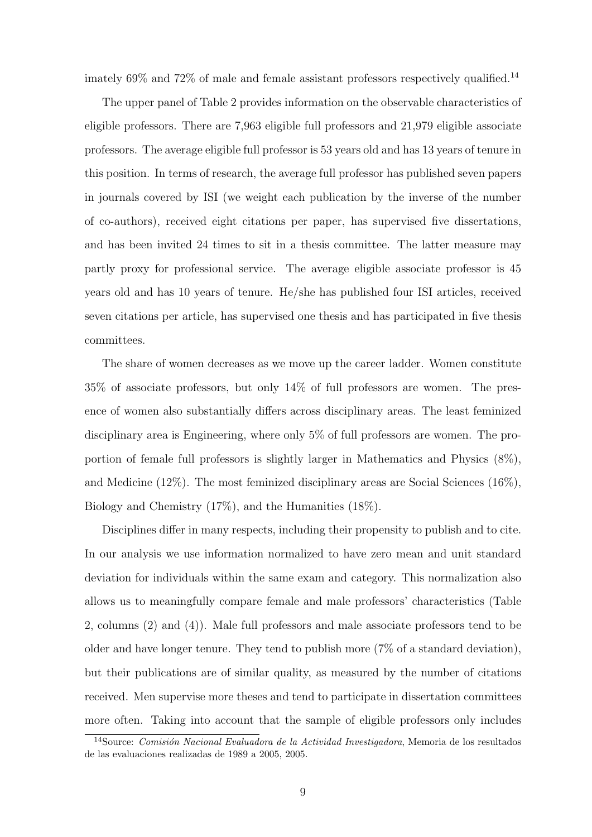imately  $69\%$  and  $72\%$  of male and female assistant professors respectively qualified.<sup>14</sup>

The upper panel of Table 2 provides information on the observable characteristics of eligible professors. There are 7,963 eligible full professors and 21,979 eligible associate professors. The average eligible full professor is 53 years old and has 13 years of tenure in this position. In terms of research, the average full professor has published seven papers in journals covered by ISI (we weight each publication by the inverse of the number of co-authors), received eight citations per paper, has supervised five dissertations, and has been invited 24 times to sit in a thesis committee. The latter measure may partly proxy for professional service. The average eligible associate professor is 45 years old and has 10 years of tenure. He/she has published four ISI articles, received seven citations per article, has supervised one thesis and has participated in five thesis committees.

The share of women decreases as we move up the career ladder. Women constitute 35% of associate professors, but only 14% of full professors are women. The presence of women also substantially differs across disciplinary areas. The least feminized disciplinary area is Engineering, where only 5% of full professors are women. The proportion of female full professors is slightly larger in Mathematics and Physics (8%), and Medicine (12%). The most feminized disciplinary areas are Social Sciences (16%), Biology and Chemistry (17%), and the Humanities (18%).

Disciplines differ in many respects, including their propensity to publish and to cite. In our analysis we use information normalized to have zero mean and unit standard deviation for individuals within the same exam and category. This normalization also allows us to meaningfully compare female and male professors' characteristics (Table 2, columns (2) and (4)). Male full professors and male associate professors tend to be older and have longer tenure. They tend to publish more (7% of a standard deviation), but their publications are of similar quality, as measured by the number of citations received. Men supervise more theses and tend to participate in dissertation committees more often. Taking into account that the sample of eligible professors only includes

<sup>&</sup>lt;sup>14</sup>Source: Comisión Nacional Evaluadora de la Actividad Investigadora, Memoria de los resultados de las evaluaciones realizadas de 1989 a 2005, 2005.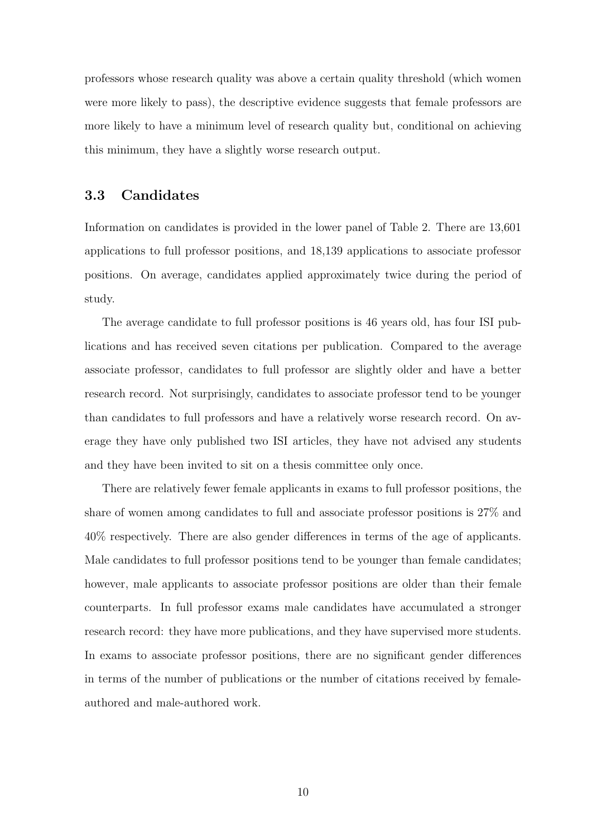professors whose research quality was above a certain quality threshold (which women were more likely to pass), the descriptive evidence suggests that female professors are more likely to have a minimum level of research quality but, conditional on achieving this minimum, they have a slightly worse research output.

## 3.3 Candidates

Information on candidates is provided in the lower panel of Table 2. There are 13,601 applications to full professor positions, and 18,139 applications to associate professor positions. On average, candidates applied approximately twice during the period of study.

The average candidate to full professor positions is 46 years old, has four ISI publications and has received seven citations per publication. Compared to the average associate professor, candidates to full professor are slightly older and have a better research record. Not surprisingly, candidates to associate professor tend to be younger than candidates to full professors and have a relatively worse research record. On average they have only published two ISI articles, they have not advised any students and they have been invited to sit on a thesis committee only once.

There are relatively fewer female applicants in exams to full professor positions, the share of women among candidates to full and associate professor positions is 27% and 40% respectively. There are also gender differences in terms of the age of applicants. Male candidates to full professor positions tend to be younger than female candidates; however, male applicants to associate professor positions are older than their female counterparts. In full professor exams male candidates have accumulated a stronger research record: they have more publications, and they have supervised more students. In exams to associate professor positions, there are no significant gender differences in terms of the number of publications or the number of citations received by femaleauthored and male-authored work.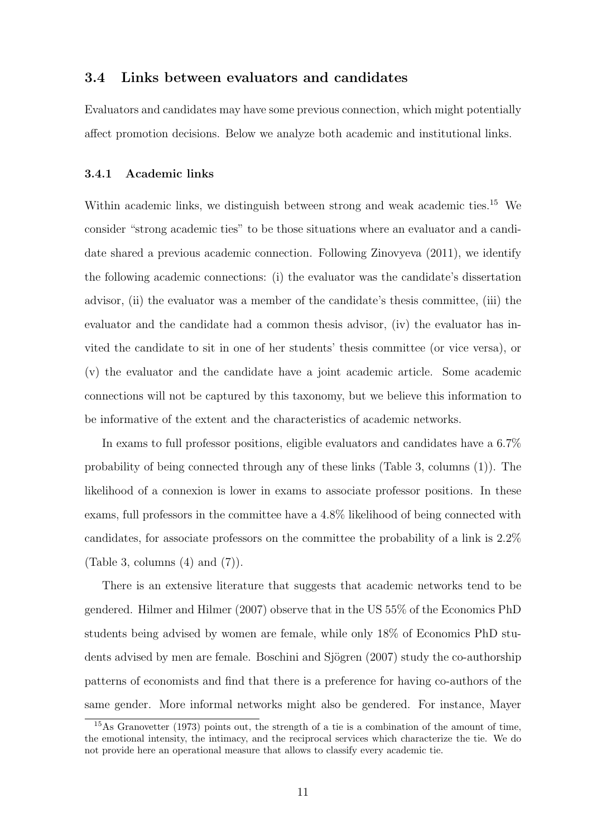## 3.4 Links between evaluators and candidates

Evaluators and candidates may have some previous connection, which might potentially affect promotion decisions. Below we analyze both academic and institutional links.

### 3.4.1 Academic links

Within academic links, we distinguish between strong and weak academic ties.<sup>15</sup> We consider "strong academic ties" to be those situations where an evaluator and a candidate shared a previous academic connection. Following Zinovyeva (2011), we identify the following academic connections: (i) the evaluator was the candidate's dissertation advisor, (ii) the evaluator was a member of the candidate's thesis committee, (iii) the evaluator and the candidate had a common thesis advisor, (iv) the evaluator has invited the candidate to sit in one of her students' thesis committee (or vice versa), or (v) the evaluator and the candidate have a joint academic article. Some academic connections will not be captured by this taxonomy, but we believe this information to be informative of the extent and the characteristics of academic networks.

In exams to full professor positions, eligible evaluators and candidates have a 6.7% probability of being connected through any of these links (Table 3, columns (1)). The likelihood of a connexion is lower in exams to associate professor positions. In these exams, full professors in the committee have a 4.8% likelihood of being connected with candidates, for associate professors on the committee the probability of a link is 2.2% (Table 3, columns  $(4)$  and  $(7)$ ).

There is an extensive literature that suggests that academic networks tend to be gendered. Hilmer and Hilmer (2007) observe that in the US 55% of the Economics PhD students being advised by women are female, while only 18% of Economics PhD students advised by men are female. Boschini and Sjögren (2007) study the co-authorship patterns of economists and find that there is a preference for having co-authors of the same gender. More informal networks might also be gendered. For instance, Mayer

<sup>15</sup>As Granovetter (1973) points out, the strength of a tie is a combination of the amount of time, the emotional intensity, the intimacy, and the reciprocal services which characterize the tie. We do not provide here an operational measure that allows to classify every academic tie.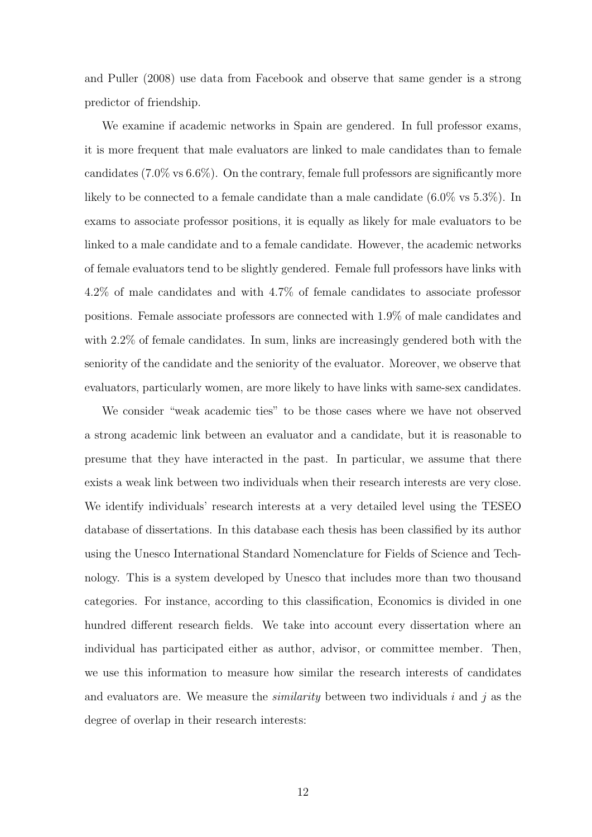and Puller (2008) use data from Facebook and observe that same gender is a strong predictor of friendship.

We examine if academic networks in Spain are gendered. In full professor exams, it is more frequent that male evaluators are linked to male candidates than to female candidates (7.0% vs 6.6%). On the contrary, female full professors are significantly more likely to be connected to a female candidate than a male candidate (6.0% vs 5.3%). In exams to associate professor positions, it is equally as likely for male evaluators to be linked to a male candidate and to a female candidate. However, the academic networks of female evaluators tend to be slightly gendered. Female full professors have links with 4.2% of male candidates and with 4.7% of female candidates to associate professor positions. Female associate professors are connected with 1.9% of male candidates and with 2.2% of female candidates. In sum, links are increasingly gendered both with the seniority of the candidate and the seniority of the evaluator. Moreover, we observe that evaluators, particularly women, are more likely to have links with same-sex candidates.

We consider "weak academic ties" to be those cases where we have not observed a strong academic link between an evaluator and a candidate, but it is reasonable to presume that they have interacted in the past. In particular, we assume that there exists a weak link between two individuals when their research interests are very close. We identify individuals' research interests at a very detailed level using the TESEO database of dissertations. In this database each thesis has been classified by its author using the Unesco International Standard Nomenclature for Fields of Science and Technology. This is a system developed by Unesco that includes more than two thousand categories. For instance, according to this classification, Economics is divided in one hundred different research fields. We take into account every dissertation where an individual has participated either as author, advisor, or committee member. Then, we use this information to measure how similar the research interests of candidates and evaluators are. We measure the *similarity* between two individuals i and j as the degree of overlap in their research interests: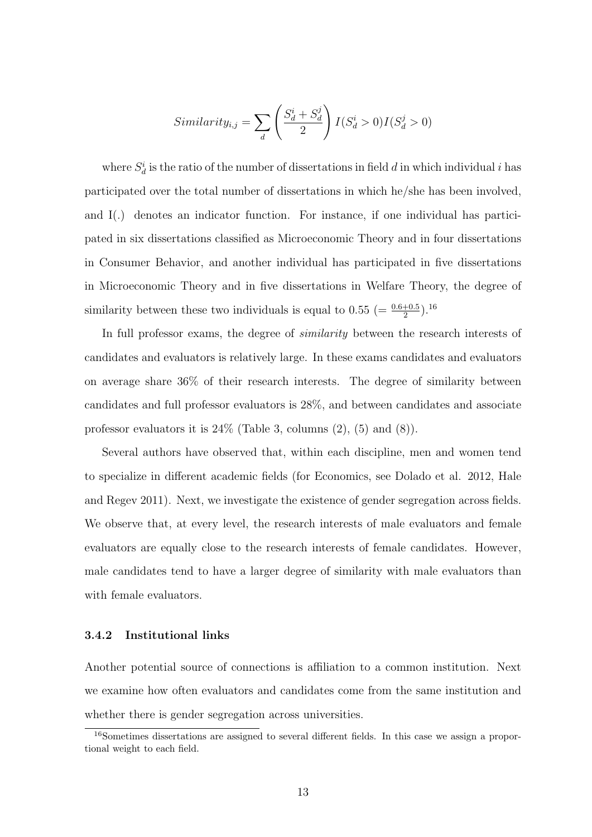$$
Similarity_{i,j} = \sum_{d} \left( \frac{S_d^i + S_d^j}{2} \right) I(S_d^i > 0) I(S_d^j > 0)
$$

where  $S_d^i$  is the ratio of the number of dissertations in field d in which individual i has participated over the total number of dissertations in which he/she has been involved, and I(.) denotes an indicator function. For instance, if one individual has participated in six dissertations classified as Microeconomic Theory and in four dissertations in Consumer Behavior, and another individual has participated in five dissertations in Microeconomic Theory and in five dissertations in Welfare Theory, the degree of similarity between these two individuals is equal to  $0.55 \ (= \frac{0.6+0.5}{2}).^{16}$ 

In full professor exams, the degree of similarity between the research interests of candidates and evaluators is relatively large. In these exams candidates and evaluators on average share 36% of their research interests. The degree of similarity between candidates and full professor evaluators is 28%, and between candidates and associate professor evaluators it is  $24\%$  (Table 3, columns  $(2)$ ,  $(5)$  and  $(8)$ ).

Several authors have observed that, within each discipline, men and women tend to specialize in different academic fields (for Economics, see Dolado et al. 2012, Hale and Regev 2011). Next, we investigate the existence of gender segregation across fields. We observe that, at every level, the research interests of male evaluators and female evaluators are equally close to the research interests of female candidates. However, male candidates tend to have a larger degree of similarity with male evaluators than with female evaluators.

#### 3.4.2 Institutional links

Another potential source of connections is affiliation to a common institution. Next we examine how often evaluators and candidates come from the same institution and whether there is gender segregation across universities.

<sup>16</sup>Sometimes dissertations are assigned to several different fields. In this case we assign a proportional weight to each field.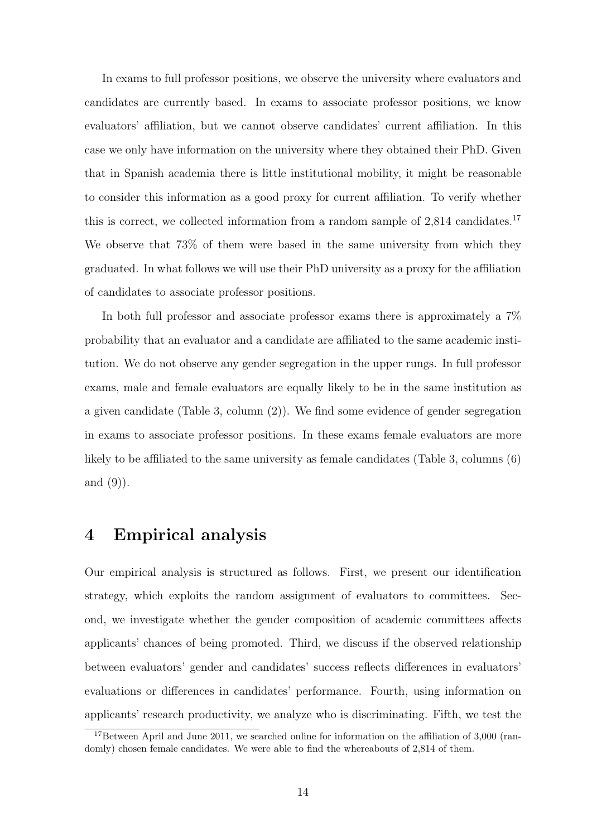In exams to full professor positions, we observe the university where evaluators and candidates are currently based. In exams to associate professor positions, we know evaluators' affiliation, but we cannot observe candidates' current affiliation. In this case we only have information on the university where they obtained their PhD. Given that in Spanish academia there is little institutional mobility, it might be reasonable to consider this information as a good proxy for current affiliation. To verify whether this is correct, we collected information from a random sample of  $2,814$  candidates.<sup>17</sup> We observe that 73% of them were based in the same university from which they graduated. In what follows we will use their PhD university as a proxy for the affiliation of candidates to associate professor positions.

In both full professor and associate professor exams there is approximately a 7% probability that an evaluator and a candidate are affiliated to the same academic institution. We do not observe any gender segregation in the upper rungs. In full professor exams, male and female evaluators are equally likely to be in the same institution as a given candidate (Table 3, column (2)). We find some evidence of gender segregation in exams to associate professor positions. In these exams female evaluators are more likely to be affiliated to the same university as female candidates (Table 3, columns (6) and (9)).

## 4 Empirical analysis

Our empirical analysis is structured as follows. First, we present our identification strategy, which exploits the random assignment of evaluators to committees. Second, we investigate whether the gender composition of academic committees affects applicants' chances of being promoted. Third, we discuss if the observed relationship between evaluators' gender and candidates' success reflects differences in evaluators' evaluations or differences in candidates' performance. Fourth, using information on applicants' research productivity, we analyze who is discriminating. Fifth, we test the

<sup>&</sup>lt;sup>17</sup>Between April and June 2011, we searched online for information on the affiliation of  $3,000$  (randomly) chosen female candidates. We were able to find the whereabouts of 2,814 of them.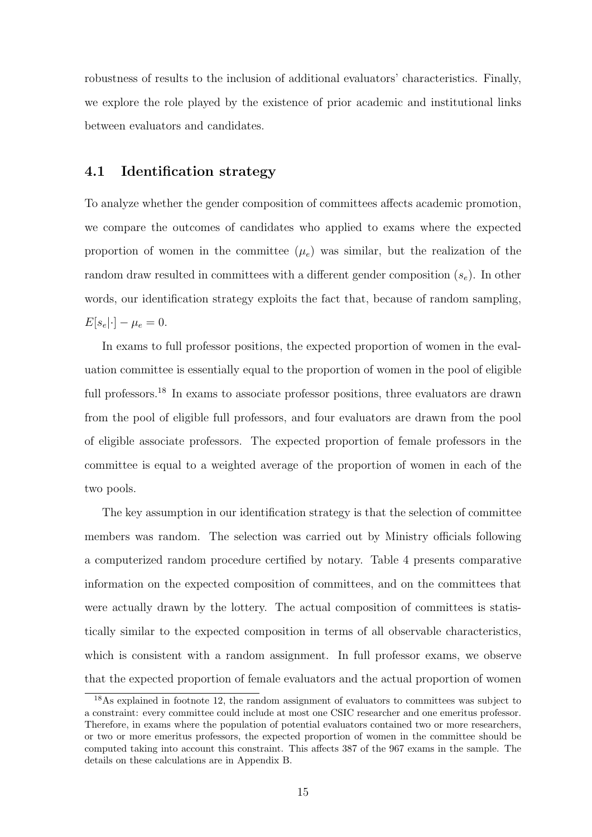robustness of results to the inclusion of additional evaluators' characteristics. Finally, we explore the role played by the existence of prior academic and institutional links between evaluators and candidates.

## 4.1 Identification strategy

To analyze whether the gender composition of committees affects academic promotion, we compare the outcomes of candidates who applied to exams where the expected proportion of women in the committee  $(\mu_e)$  was similar, but the realization of the random draw resulted in committees with a different gender composition  $(s_e)$ . In other words, our identification strategy exploits the fact that, because of random sampling,  $E[s_e|\cdot] - \mu_e = 0.$ 

In exams to full professor positions, the expected proportion of women in the evaluation committee is essentially equal to the proportion of women in the pool of eligible full professors.<sup>18</sup> In exams to associate professor positions, three evaluators are drawn from the pool of eligible full professors, and four evaluators are drawn from the pool of eligible associate professors. The expected proportion of female professors in the committee is equal to a weighted average of the proportion of women in each of the two pools.

The key assumption in our identification strategy is that the selection of committee members was random. The selection was carried out by Ministry officials following a computerized random procedure certified by notary. Table 4 presents comparative information on the expected composition of committees, and on the committees that were actually drawn by the lottery. The actual composition of committees is statistically similar to the expected composition in terms of all observable characteristics, which is consistent with a random assignment. In full professor exams, we observe that the expected proportion of female evaluators and the actual proportion of women

<sup>&</sup>lt;sup>18</sup>As explained in footnote 12, the random assignment of evaluators to committees was subject to a constraint: every committee could include at most one CSIC researcher and one emeritus professor. Therefore, in exams where the population of potential evaluators contained two or more researchers, or two or more emeritus professors, the expected proportion of women in the committee should be computed taking into account this constraint. This affects 387 of the 967 exams in the sample. The details on these calculations are in Appendix B.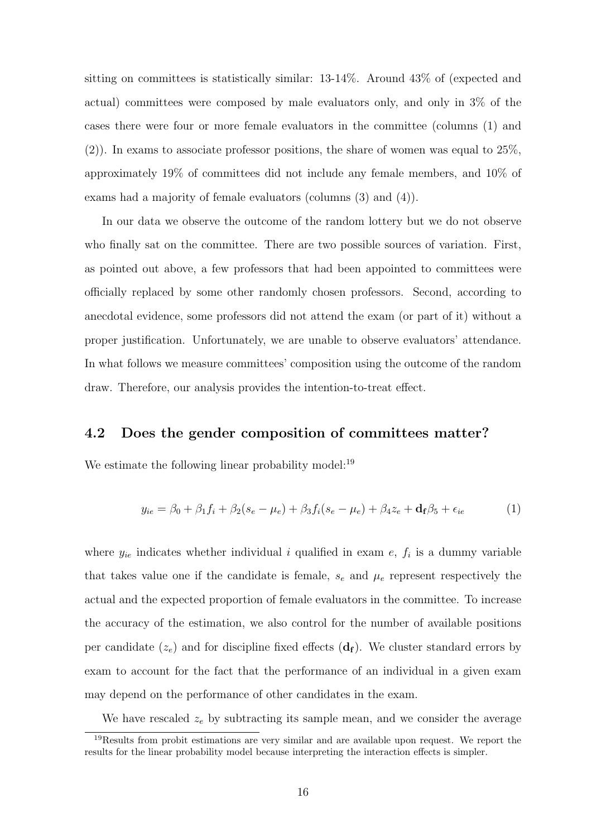sitting on committees is statistically similar: 13-14%. Around 43% of (expected and actual) committees were composed by male evaluators only, and only in 3% of the cases there were four or more female evaluators in the committee (columns (1) and (2)). In exams to associate professor positions, the share of women was equal to 25%, approximately 19% of committees did not include any female members, and 10% of exams had a majority of female evaluators (columns (3) and (4)).

In our data we observe the outcome of the random lottery but we do not observe who finally sat on the committee. There are two possible sources of variation. First, as pointed out above, a few professors that had been appointed to committees were officially replaced by some other randomly chosen professors. Second, according to anecdotal evidence, some professors did not attend the exam (or part of it) without a proper justification. Unfortunately, we are unable to observe evaluators' attendance. In what follows we measure committees' composition using the outcome of the random draw. Therefore, our analysis provides the intention-to-treat effect.

### 4.2 Does the gender composition of committees matter?

We estimate the following linear probability model:<sup>19</sup>

$$
y_{ie} = \beta_0 + \beta_1 f_i + \beta_2 (s_e - \mu_e) + \beta_3 f_i (s_e - \mu_e) + \beta_4 z_e + \mathbf{d_f} \beta_5 + \epsilon_{ie} \tag{1}
$$

where  $y_{ie}$  indicates whether individual i qualified in exam e,  $f_i$  is a dummy variable that takes value one if the candidate is female,  $s_e$  and  $\mu_e$  represent respectively the actual and the expected proportion of female evaluators in the committee. To increase the accuracy of the estimation, we also control for the number of available positions per candidate  $(z_e)$  and for discipline fixed effects  $(d_f)$ . We cluster standard errors by exam to account for the fact that the performance of an individual in a given exam may depend on the performance of other candidates in the exam.

We have rescaled  $z_e$  by subtracting its sample mean, and we consider the average

<sup>&</sup>lt;sup>19</sup>Results from probit estimations are very similar and are available upon request. We report the results for the linear probability model because interpreting the interaction effects is simpler.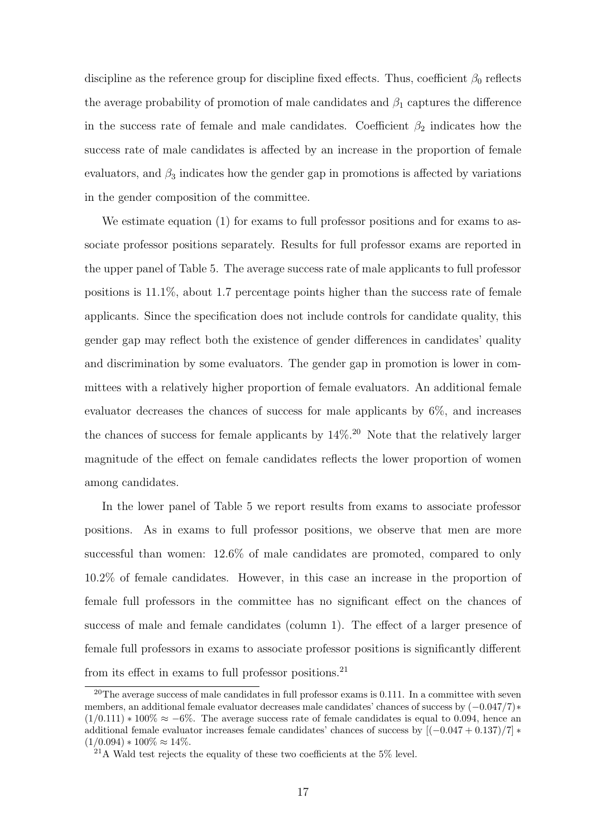discipline as the reference group for discipline fixed effects. Thus, coefficient  $\beta_0$  reflects the average probability of promotion of male candidates and  $\beta_1$  captures the difference in the success rate of female and male candidates. Coefficient  $\beta_2$  indicates how the success rate of male candidates is affected by an increase in the proportion of female evaluators, and  $\beta_3$  indicates how the gender gap in promotions is affected by variations in the gender composition of the committee.

We estimate equation (1) for exams to full professor positions and for exams to associate professor positions separately. Results for full professor exams are reported in the upper panel of Table 5. The average success rate of male applicants to full professor positions is 11.1%, about 1.7 percentage points higher than the success rate of female applicants. Since the specification does not include controls for candidate quality, this gender gap may reflect both the existence of gender differences in candidates' quality and discrimination by some evaluators. The gender gap in promotion is lower in committees with a relatively higher proportion of female evaluators. An additional female evaluator decreases the chances of success for male applicants by 6%, and increases the chances of success for female applicants by  $14\%$ .<sup>20</sup> Note that the relatively larger magnitude of the effect on female candidates reflects the lower proportion of women among candidates.

In the lower panel of Table 5 we report results from exams to associate professor positions. As in exams to full professor positions, we observe that men are more successful than women: 12.6% of male candidates are promoted, compared to only 10.2% of female candidates. However, in this case an increase in the proportion of female full professors in the committee has no significant effect on the chances of success of male and female candidates (column 1). The effect of a larger presence of female full professors in exams to associate professor positions is significantly different from its effect in exams to full professor positions.<sup>21</sup>

<sup>&</sup>lt;sup>20</sup>The average success of male candidates in full professor exams is  $0.111$ . In a committee with seven members, an additional female evaluator decreases male candidates' chances of success by  $(-0.047/7)$ <sup>\*</sup>  $(1/0.111) * 100\% \approx -6\%.$  The average success rate of female candidates is equal to 0.094, hence an additional female evaluator increases female candidates' chances of success by  $[(-0.047 + 0.137)/7]$  \*  $(1/0.094) * 100\% \approx 14\%.$ 

 $21A$  Wald test rejects the equality of these two coefficients at the 5% level.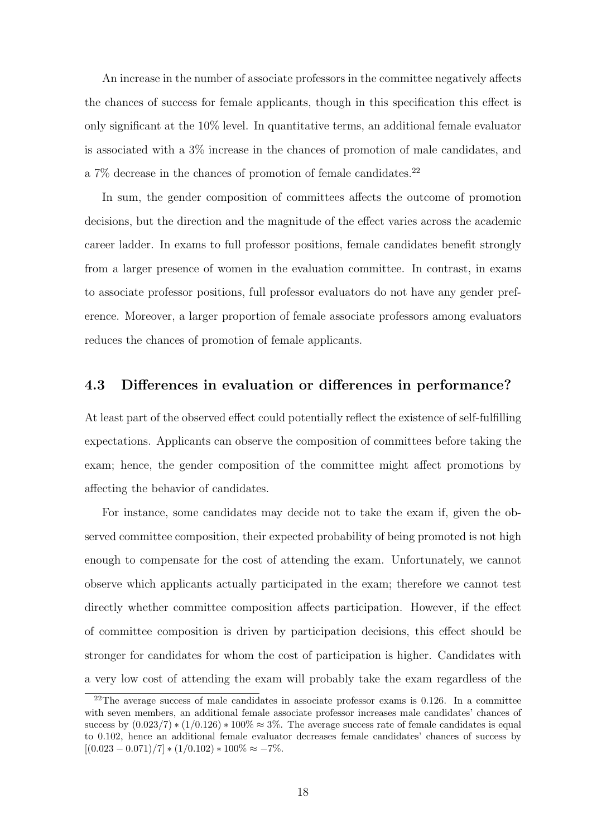An increase in the number of associate professors in the committee negatively affects the chances of success for female applicants, though in this specification this effect is only significant at the 10% level. In quantitative terms, an additional female evaluator is associated with a 3% increase in the chances of promotion of male candidates, and a 7% decrease in the chances of promotion of female candidates.<sup>22</sup>

In sum, the gender composition of committees affects the outcome of promotion decisions, but the direction and the magnitude of the effect varies across the academic career ladder. In exams to full professor positions, female candidates benefit strongly from a larger presence of women in the evaluation committee. In contrast, in exams to associate professor positions, full professor evaluators do not have any gender preference. Moreover, a larger proportion of female associate professors among evaluators reduces the chances of promotion of female applicants.

## 4.3 Differences in evaluation or differences in performance?

At least part of the observed effect could potentially reflect the existence of self-fulfilling expectations. Applicants can observe the composition of committees before taking the exam; hence, the gender composition of the committee might affect promotions by affecting the behavior of candidates.

For instance, some candidates may decide not to take the exam if, given the observed committee composition, their expected probability of being promoted is not high enough to compensate for the cost of attending the exam. Unfortunately, we cannot observe which applicants actually participated in the exam; therefore we cannot test directly whether committee composition affects participation. However, if the effect of committee composition is driven by participation decisions, this effect should be stronger for candidates for whom the cost of participation is higher. Candidates with a very low cost of attending the exam will probably take the exam regardless of the

 $22$ The average success of male candidates in associate professor exams is 0.126. In a committee with seven members, an additional female associate professor increases male candidates' chances of success by  $(0.023/7) * (1/0.126) * 100\% \approx 3\%$ . The average success rate of female candidates is equal to 0.102, hence an additional female evaluator decreases female candidates' chances of success by  $[(0.023 - 0.071)/7] * (1/0.102) * 100\% \approx -7\%.$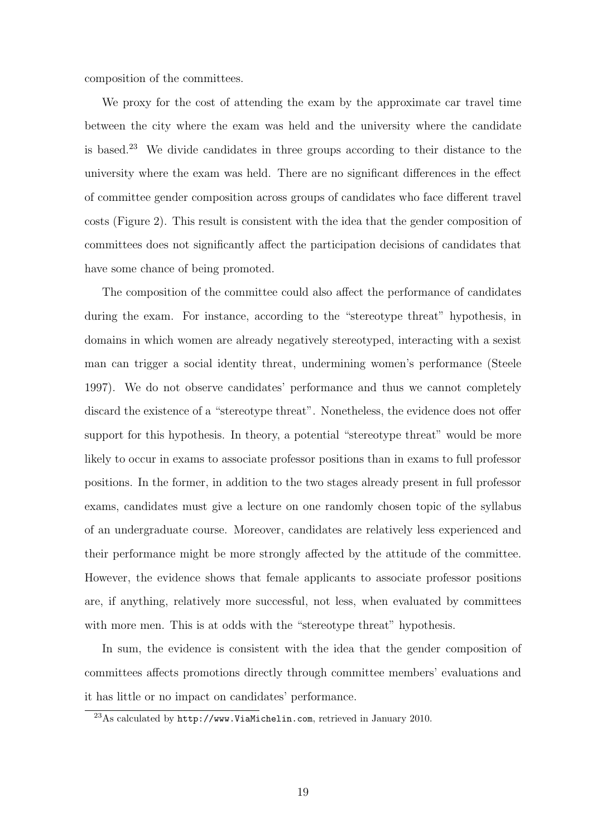composition of the committees.

We proxy for the cost of attending the exam by the approximate car travel time between the city where the exam was held and the university where the candidate is based.<sup>23</sup> We divide candidates in three groups according to their distance to the university where the exam was held. There are no significant differences in the effect of committee gender composition across groups of candidates who face different travel costs (Figure 2). This result is consistent with the idea that the gender composition of committees does not significantly affect the participation decisions of candidates that have some chance of being promoted.

The composition of the committee could also affect the performance of candidates during the exam. For instance, according to the "stereotype threat" hypothesis, in domains in which women are already negatively stereotyped, interacting with a sexist man can trigger a social identity threat, undermining women's performance (Steele 1997). We do not observe candidates' performance and thus we cannot completely discard the existence of a "stereotype threat". Nonetheless, the evidence does not offer support for this hypothesis. In theory, a potential "stereotype threat" would be more likely to occur in exams to associate professor positions than in exams to full professor positions. In the former, in addition to the two stages already present in full professor exams, candidates must give a lecture on one randomly chosen topic of the syllabus of an undergraduate course. Moreover, candidates are relatively less experienced and their performance might be more strongly affected by the attitude of the committee. However, the evidence shows that female applicants to associate professor positions are, if anything, relatively more successful, not less, when evaluated by committees with more men. This is at odds with the "stereotype threat" hypothesis.

In sum, the evidence is consistent with the idea that the gender composition of committees affects promotions directly through committee members' evaluations and it has little or no impact on candidates' performance.

<sup>23</sup>As calculated by http://www.ViaMichelin.com, retrieved in January 2010.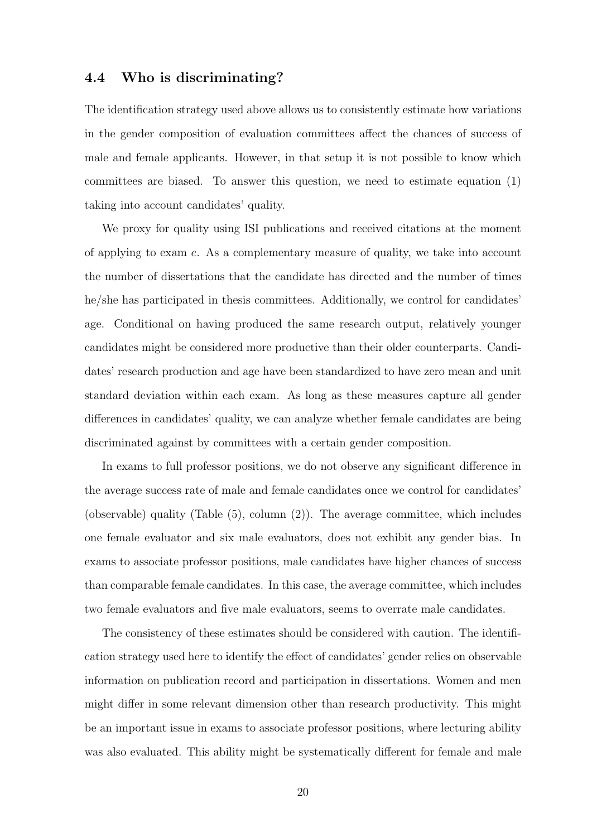### 4.4 Who is discriminating?

The identification strategy used above allows us to consistently estimate how variations in the gender composition of evaluation committees affect the chances of success of male and female applicants. However, in that setup it is not possible to know which committees are biased. To answer this question, we need to estimate equation (1) taking into account candidates' quality.

We proxy for quality using ISI publications and received citations at the moment of applying to exam e. As a complementary measure of quality, we take into account the number of dissertations that the candidate has directed and the number of times he/she has participated in thesis committees. Additionally, we control for candidates' age. Conditional on having produced the same research output, relatively younger candidates might be considered more productive than their older counterparts. Candidates' research production and age have been standardized to have zero mean and unit standard deviation within each exam. As long as these measures capture all gender differences in candidates' quality, we can analyze whether female candidates are being discriminated against by committees with a certain gender composition.

In exams to full professor positions, we do not observe any significant difference in the average success rate of male and female candidates once we control for candidates' (observable) quality (Table (5), column (2)). The average committee, which includes one female evaluator and six male evaluators, does not exhibit any gender bias. In exams to associate professor positions, male candidates have higher chances of success than comparable female candidates. In this case, the average committee, which includes two female evaluators and five male evaluators, seems to overrate male candidates.

The consistency of these estimates should be considered with caution. The identification strategy used here to identify the effect of candidates' gender relies on observable information on publication record and participation in dissertations. Women and men might differ in some relevant dimension other than research productivity. This might be an important issue in exams to associate professor positions, where lecturing ability was also evaluated. This ability might be systematically different for female and male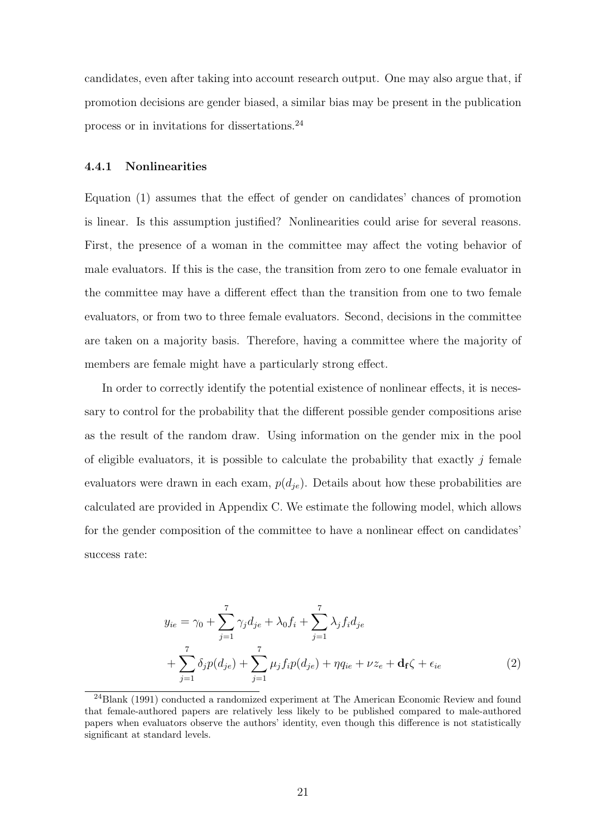candidates, even after taking into account research output. One may also argue that, if promotion decisions are gender biased, a similar bias may be present in the publication process or in invitations for dissertations.<sup>24</sup>

#### 4.4.1 Nonlinearities

Equation (1) assumes that the effect of gender on candidates' chances of promotion is linear. Is this assumption justified? Nonlinearities could arise for several reasons. First, the presence of a woman in the committee may affect the voting behavior of male evaluators. If this is the case, the transition from zero to one female evaluator in the committee may have a different effect than the transition from one to two female evaluators, or from two to three female evaluators. Second, decisions in the committee are taken on a majority basis. Therefore, having a committee where the majority of members are female might have a particularly strong effect.

In order to correctly identify the potential existence of nonlinear effects, it is necessary to control for the probability that the different possible gender compositions arise as the result of the random draw. Using information on the gender mix in the pool of eligible evaluators, it is possible to calculate the probability that exactly  $j$  female evaluators were drawn in each exam,  $p(d_{ie})$ . Details about how these probabilities are calculated are provided in Appendix C. We estimate the following model, which allows for the gender composition of the committee to have a nonlinear effect on candidates' success rate:

$$
y_{ie} = \gamma_0 + \sum_{j=1}^{7} \gamma_j d_{je} + \lambda_0 f_i + \sum_{j=1}^{7} \lambda_j f_i d_{je}
$$
  
+ 
$$
\sum_{j=1}^{7} \delta_j p(d_{je}) + \sum_{j=1}^{7} \mu_j f_i p(d_{je}) + \eta q_{ie} + \nu z_e + \mathbf{d_f} \zeta + \epsilon_{ie}
$$
 (2)

<sup>24</sup>Blank (1991) conducted a randomized experiment at The American Economic Review and found that female-authored papers are relatively less likely to be published compared to male-authored papers when evaluators observe the authors' identity, even though this difference is not statistically significant at standard levels.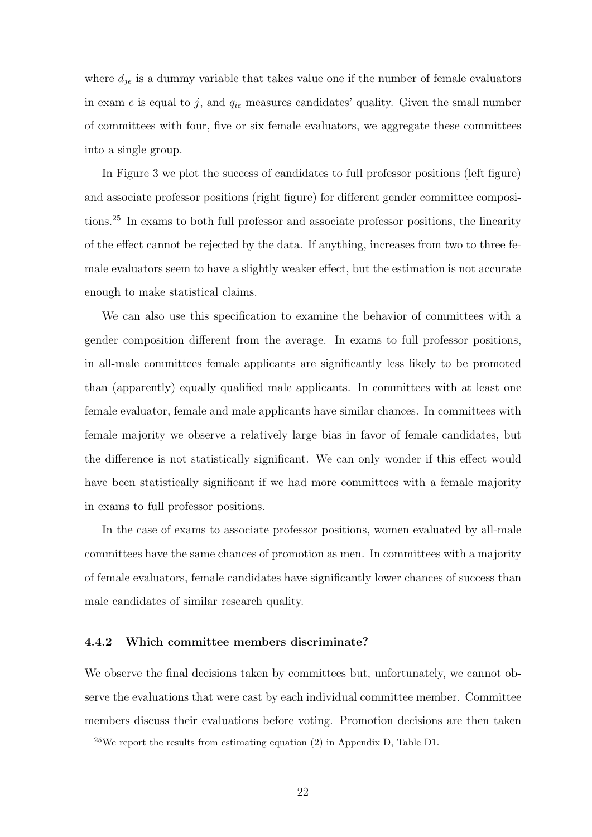where  $d_{ie}$  is a dummy variable that takes value one if the number of female evaluators in exam e is equal to j, and  $q_{ie}$  measures candidates' quality. Given the small number of committees with four, five or six female evaluators, we aggregate these committees into a single group.

In Figure 3 we plot the success of candidates to full professor positions (left figure) and associate professor positions (right figure) for different gender committee compositions.<sup>25</sup> In exams to both full professor and associate professor positions, the linearity of the effect cannot be rejected by the data. If anything, increases from two to three female evaluators seem to have a slightly weaker effect, but the estimation is not accurate enough to make statistical claims.

We can also use this specification to examine the behavior of committees with a gender composition different from the average. In exams to full professor positions, in all-male committees female applicants are significantly less likely to be promoted than (apparently) equally qualified male applicants. In committees with at least one female evaluator, female and male applicants have similar chances. In committees with female majority we observe a relatively large bias in favor of female candidates, but the difference is not statistically significant. We can only wonder if this effect would have been statistically significant if we had more committees with a female majority in exams to full professor positions.

In the case of exams to associate professor positions, women evaluated by all-male committees have the same chances of promotion as men. In committees with a majority of female evaluators, female candidates have significantly lower chances of success than male candidates of similar research quality.

#### 4.4.2 Which committee members discriminate?

We observe the final decisions taken by committees but, unfortunately, we cannot observe the evaluations that were cast by each individual committee member. Committee members discuss their evaluations before voting. Promotion decisions are then taken

 $25$ We report the results from estimating equation (2) in Appendix D, Table D1.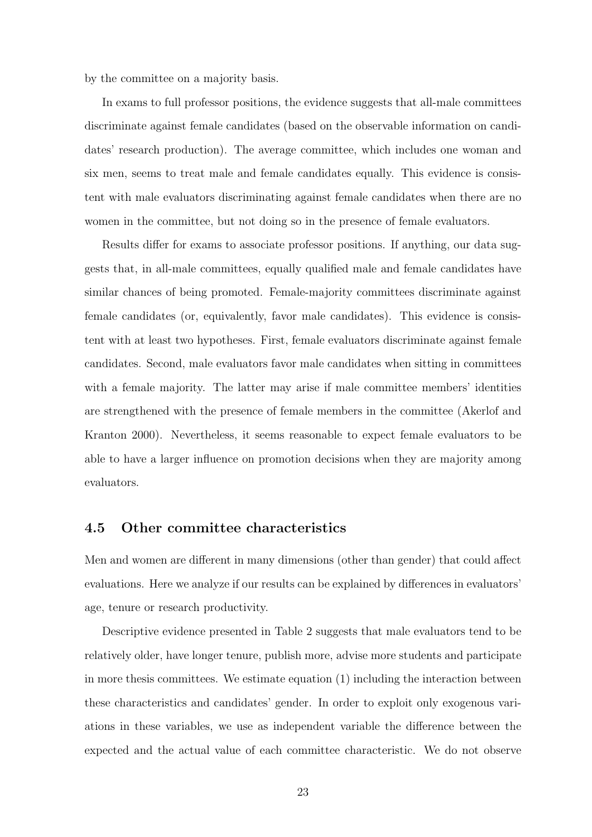by the committee on a majority basis.

In exams to full professor positions, the evidence suggests that all-male committees discriminate against female candidates (based on the observable information on candidates' research production). The average committee, which includes one woman and six men, seems to treat male and female candidates equally. This evidence is consistent with male evaluators discriminating against female candidates when there are no women in the committee, but not doing so in the presence of female evaluators.

Results differ for exams to associate professor positions. If anything, our data suggests that, in all-male committees, equally qualified male and female candidates have similar chances of being promoted. Female-majority committees discriminate against female candidates (or, equivalently, favor male candidates). This evidence is consistent with at least two hypotheses. First, female evaluators discriminate against female candidates. Second, male evaluators favor male candidates when sitting in committees with a female majority. The latter may arise if male committee members' identities are strengthened with the presence of female members in the committee (Akerlof and Kranton 2000). Nevertheless, it seems reasonable to expect female evaluators to be able to have a larger influence on promotion decisions when they are majority among evaluators.

## 4.5 Other committee characteristics

Men and women are different in many dimensions (other than gender) that could affect evaluations. Here we analyze if our results can be explained by differences in evaluators' age, tenure or research productivity.

Descriptive evidence presented in Table 2 suggests that male evaluators tend to be relatively older, have longer tenure, publish more, advise more students and participate in more thesis committees. We estimate equation (1) including the interaction between these characteristics and candidates' gender. In order to exploit only exogenous variations in these variables, we use as independent variable the difference between the expected and the actual value of each committee characteristic. We do not observe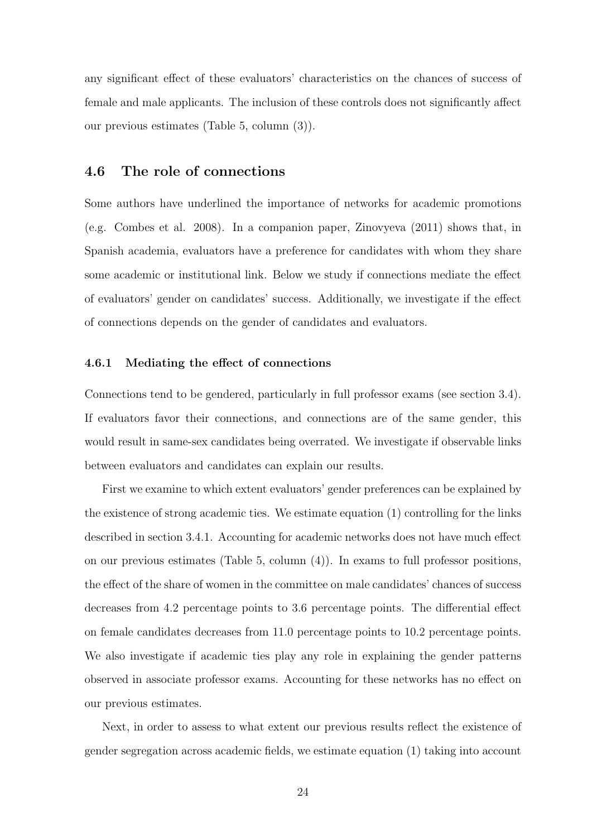any significant effect of these evaluators' characteristics on the chances of success of female and male applicants. The inclusion of these controls does not significantly affect our previous estimates (Table 5, column (3)).

## 4.6 The role of connections

Some authors have underlined the importance of networks for academic promotions (e.g. Combes et al. 2008). In a companion paper, Zinovyeva (2011) shows that, in Spanish academia, evaluators have a preference for candidates with whom they share some academic or institutional link. Below we study if connections mediate the effect of evaluators' gender on candidates' success. Additionally, we investigate if the effect of connections depends on the gender of candidates and evaluators.

#### 4.6.1 Mediating the effect of connections

Connections tend to be gendered, particularly in full professor exams (see section 3.4). If evaluators favor their connections, and connections are of the same gender, this would result in same-sex candidates being overrated. We investigate if observable links between evaluators and candidates can explain our results.

First we examine to which extent evaluators' gender preferences can be explained by the existence of strong academic ties. We estimate equation (1) controlling for the links described in section 3.4.1. Accounting for academic networks does not have much effect on our previous estimates (Table 5, column (4)). In exams to full professor positions, the effect of the share of women in the committee on male candidates' chances of success decreases from 4.2 percentage points to 3.6 percentage points. The differential effect on female candidates decreases from 11.0 percentage points to 10.2 percentage points. We also investigate if academic ties play any role in explaining the gender patterns observed in associate professor exams. Accounting for these networks has no effect on our previous estimates.

Next, in order to assess to what extent our previous results reflect the existence of gender segregation across academic fields, we estimate equation (1) taking into account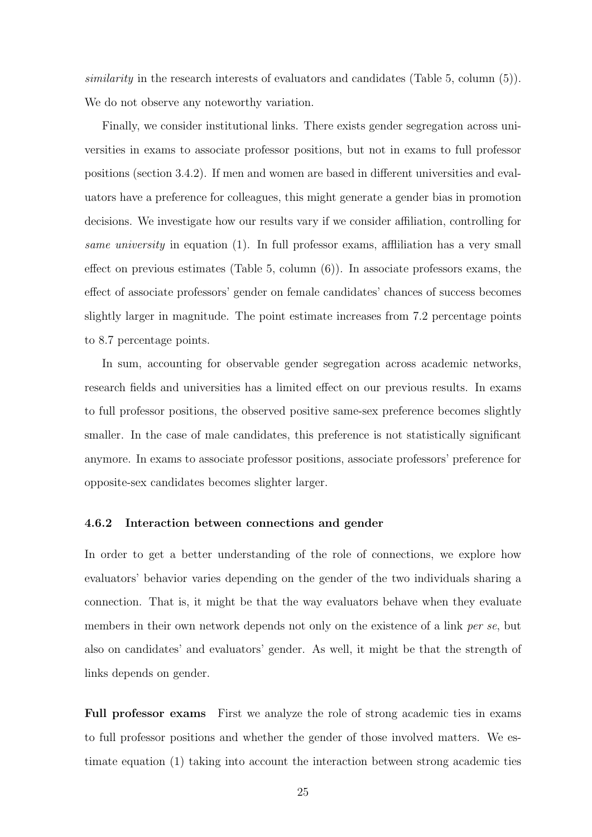similarity in the research interests of evaluators and candidates (Table 5, column  $(5)$ ). We do not observe any noteworthy variation.

Finally, we consider institutional links. There exists gender segregation across universities in exams to associate professor positions, but not in exams to full professor positions (section 3.4.2). If men and women are based in different universities and evaluators have a preference for colleagues, this might generate a gender bias in promotion decisions. We investigate how our results vary if we consider affiliation, controlling for same university in equation (1). In full professor exams, affiliation has a very small effect on previous estimates (Table 5, column (6)). In associate professors exams, the effect of associate professors' gender on female candidates' chances of success becomes slightly larger in magnitude. The point estimate increases from 7.2 percentage points to 8.7 percentage points.

In sum, accounting for observable gender segregation across academic networks, research fields and universities has a limited effect on our previous results. In exams to full professor positions, the observed positive same-sex preference becomes slightly smaller. In the case of male candidates, this preference is not statistically significant anymore. In exams to associate professor positions, associate professors' preference for opposite-sex candidates becomes slighter larger.

#### 4.6.2 Interaction between connections and gender

In order to get a better understanding of the role of connections, we explore how evaluators' behavior varies depending on the gender of the two individuals sharing a connection. That is, it might be that the way evaluators behave when they evaluate members in their own network depends not only on the existence of a link per se, but also on candidates' and evaluators' gender. As well, it might be that the strength of links depends on gender.

Full professor exams First we analyze the role of strong academic ties in exams to full professor positions and whether the gender of those involved matters. We estimate equation (1) taking into account the interaction between strong academic ties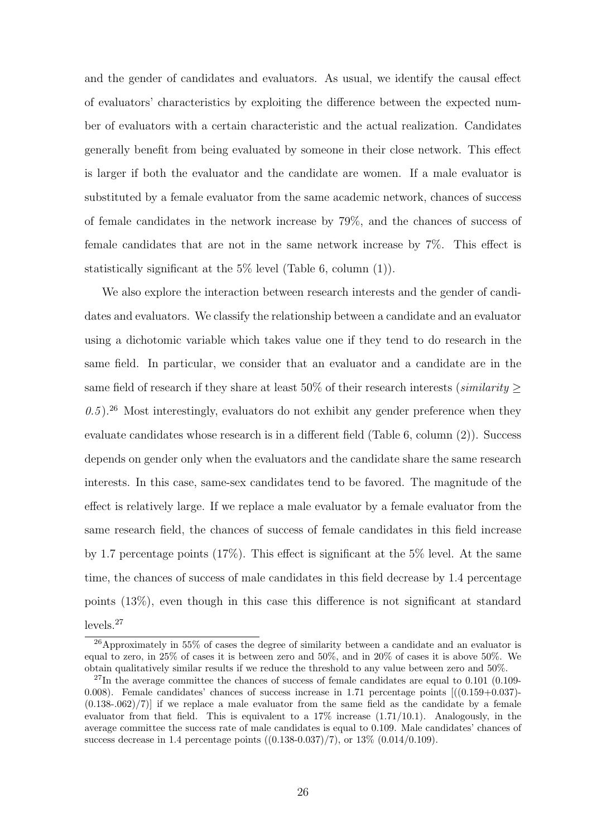and the gender of candidates and evaluators. As usual, we identify the causal effect of evaluators' characteristics by exploiting the difference between the expected number of evaluators with a certain characteristic and the actual realization. Candidates generally benefit from being evaluated by someone in their close network. This effect is larger if both the evaluator and the candidate are women. If a male evaluator is substituted by a female evaluator from the same academic network, chances of success of female candidates in the network increase by 79%, and the chances of success of female candidates that are not in the same network increase by 7%. This effect is statistically significant at the 5% level (Table 6, column (1)).

We also explore the interaction between research interests and the gender of candidates and evaluators. We classify the relationship between a candidate and an evaluator using a dichotomic variable which takes value one if they tend to do research in the same field. In particular, we consider that an evaluator and a candidate are in the same field of research if they share at least  $50\%$  of their research interests (*similarity* >  $(0.5)$ .<sup>26</sup> Most interestingly, evaluators do not exhibit any gender preference when they evaluate candidates whose research is in a different field (Table 6, column (2)). Success depends on gender only when the evaluators and the candidate share the same research interests. In this case, same-sex candidates tend to be favored. The magnitude of the effect is relatively large. If we replace a male evaluator by a female evaluator from the same research field, the chances of success of female candidates in this field increase by 1.7 percentage points (17%). This effect is significant at the 5% level. At the same time, the chances of success of male candidates in this field decrease by 1.4 percentage points (13%), even though in this case this difference is not significant at standard levels.<sup>27</sup>

<sup>26</sup>Approximately in 55% of cases the degree of similarity between a candidate and an evaluator is equal to zero, in 25% of cases it is between zero and 50%, and in 20% of cases it is above 50%. We obtain qualitatively similar results if we reduce the threshold to any value between zero and 50%.

 $^{27}$ In the average committee the chances of success of female candidates are equal to 0.101 (0.109-0.008). Female candidates' chances of success increase in 1.71 percentage points  $[(0.159+0.037) (0.138-0.062)/7$ ] if we replace a male evaluator from the same field as the candidate by a female evaluator from that field. This is equivalent to a  $17\%$  increase  $(1.71/10.1)$ . Analogously, in the average committee the success rate of male candidates is equal to 0.109. Male candidates' chances of success decrease in 1.4 percentage points  $((0.138-0.037)/7)$ , or  $13\%$   $(0.014/0.109)$ .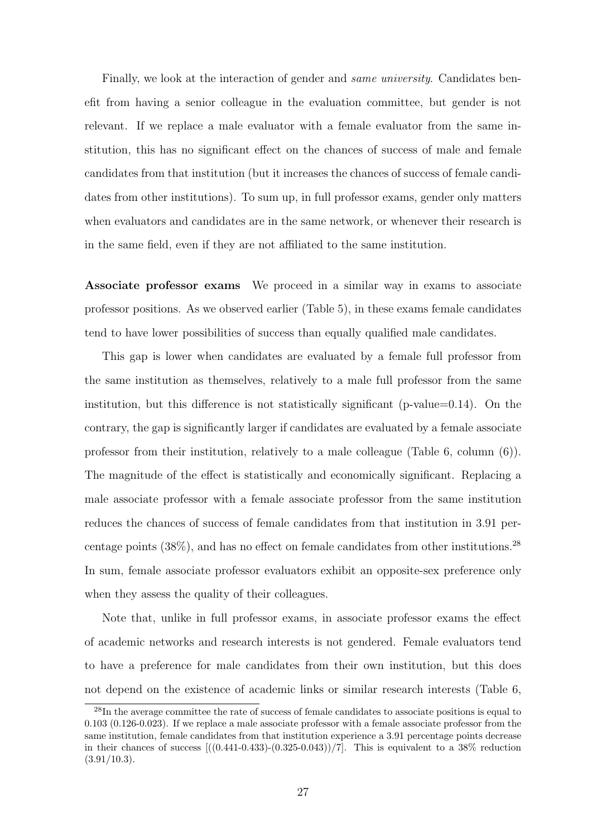Finally, we look at the interaction of gender and same university. Candidates benefit from having a senior colleague in the evaluation committee, but gender is not relevant. If we replace a male evaluator with a female evaluator from the same institution, this has no significant effect on the chances of success of male and female candidates from that institution (but it increases the chances of success of female candidates from other institutions). To sum up, in full professor exams, gender only matters when evaluators and candidates are in the same network, or whenever their research is in the same field, even if they are not affiliated to the same institution.

Associate professor exams We proceed in a similar way in exams to associate professor positions. As we observed earlier (Table 5), in these exams female candidates tend to have lower possibilities of success than equally qualified male candidates.

This gap is lower when candidates are evaluated by a female full professor from the same institution as themselves, relatively to a male full professor from the same institution, but this difference is not statistically significant (p-value=0.14). On the contrary, the gap is significantly larger if candidates are evaluated by a female associate professor from their institution, relatively to a male colleague (Table 6, column (6)). The magnitude of the effect is statistically and economically significant. Replacing a male associate professor with a female associate professor from the same institution reduces the chances of success of female candidates from that institution in 3.91 percentage points  $(38\%)$ , and has no effect on female candidates from other institutions.<sup>28</sup> In sum, female associate professor evaluators exhibit an opposite-sex preference only when they assess the quality of their colleagues.

Note that, unlike in full professor exams, in associate professor exams the effect of academic networks and research interests is not gendered. Female evaluators tend to have a preference for male candidates from their own institution, but this does not depend on the existence of academic links or similar research interests (Table 6,

<sup>&</sup>lt;sup>28</sup>In the average committee the rate of success of female candidates to associate positions is equal to 0.103 (0.126-0.023). If we replace a male associate professor with a female associate professor from the same institution, female candidates from that institution experience a 3.91 percentage points decrease in their chances of success  $[(0.441-0.433)-(0.325-0.043))/7]$ . This is equivalent to a 38% reduction  $(3.91/10.3)$ .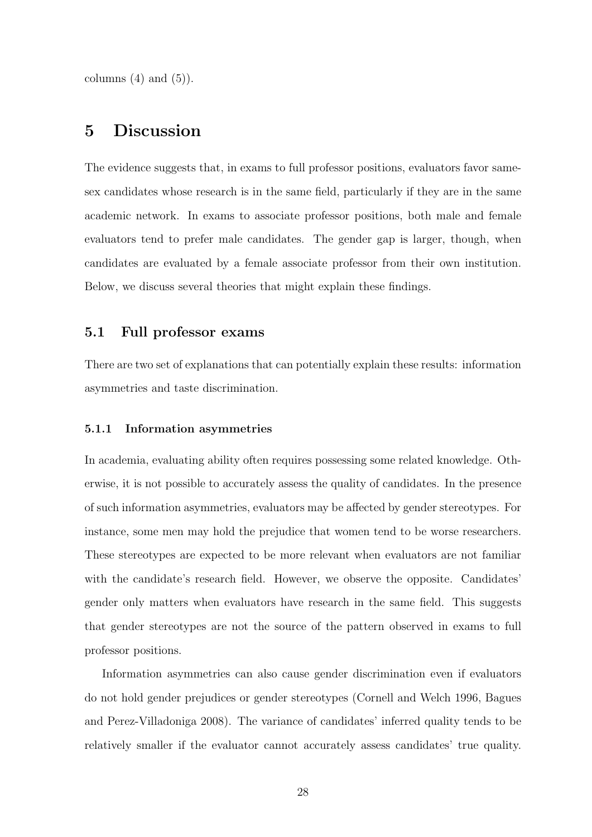columns  $(4)$  and  $(5)$ ).

## 5 Discussion

The evidence suggests that, in exams to full professor positions, evaluators favor samesex candidates whose research is in the same field, particularly if they are in the same academic network. In exams to associate professor positions, both male and female evaluators tend to prefer male candidates. The gender gap is larger, though, when candidates are evaluated by a female associate professor from their own institution. Below, we discuss several theories that might explain these findings.

## 5.1 Full professor exams

There are two set of explanations that can potentially explain these results: information asymmetries and taste discrimination.

#### 5.1.1 Information asymmetries

In academia, evaluating ability often requires possessing some related knowledge. Otherwise, it is not possible to accurately assess the quality of candidates. In the presence of such information asymmetries, evaluators may be affected by gender stereotypes. For instance, some men may hold the prejudice that women tend to be worse researchers. These stereotypes are expected to be more relevant when evaluators are not familiar with the candidate's research field. However, we observe the opposite. Candidates' gender only matters when evaluators have research in the same field. This suggests that gender stereotypes are not the source of the pattern observed in exams to full professor positions.

Information asymmetries can also cause gender discrimination even if evaluators do not hold gender prejudices or gender stereotypes (Cornell and Welch 1996, Bagues and Perez-Villadoniga 2008). The variance of candidates' inferred quality tends to be relatively smaller if the evaluator cannot accurately assess candidates' true quality.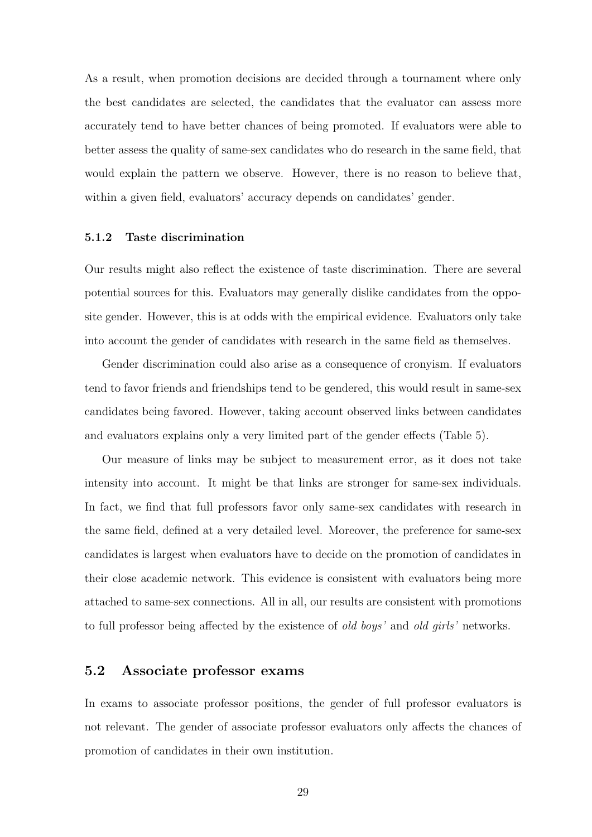As a result, when promotion decisions are decided through a tournament where only the best candidates are selected, the candidates that the evaluator can assess more accurately tend to have better chances of being promoted. If evaluators were able to better assess the quality of same-sex candidates who do research in the same field, that would explain the pattern we observe. However, there is no reason to believe that, within a given field, evaluators' accuracy depends on candidates' gender.

### 5.1.2 Taste discrimination

Our results might also reflect the existence of taste discrimination. There are several potential sources for this. Evaluators may generally dislike candidates from the opposite gender. However, this is at odds with the empirical evidence. Evaluators only take into account the gender of candidates with research in the same field as themselves.

Gender discrimination could also arise as a consequence of cronyism. If evaluators tend to favor friends and friendships tend to be gendered, this would result in same-sex candidates being favored. However, taking account observed links between candidates and evaluators explains only a very limited part of the gender effects (Table 5).

Our measure of links may be subject to measurement error, as it does not take intensity into account. It might be that links are stronger for same-sex individuals. In fact, we find that full professors favor only same-sex candidates with research in the same field, defined at a very detailed level. Moreover, the preference for same-sex candidates is largest when evaluators have to decide on the promotion of candidates in their close academic network. This evidence is consistent with evaluators being more attached to same-sex connections. All in all, our results are consistent with promotions to full professor being affected by the existence of *old boys'* and *old girls'* networks.

## 5.2 Associate professor exams

In exams to associate professor positions, the gender of full professor evaluators is not relevant. The gender of associate professor evaluators only affects the chances of promotion of candidates in their own institution.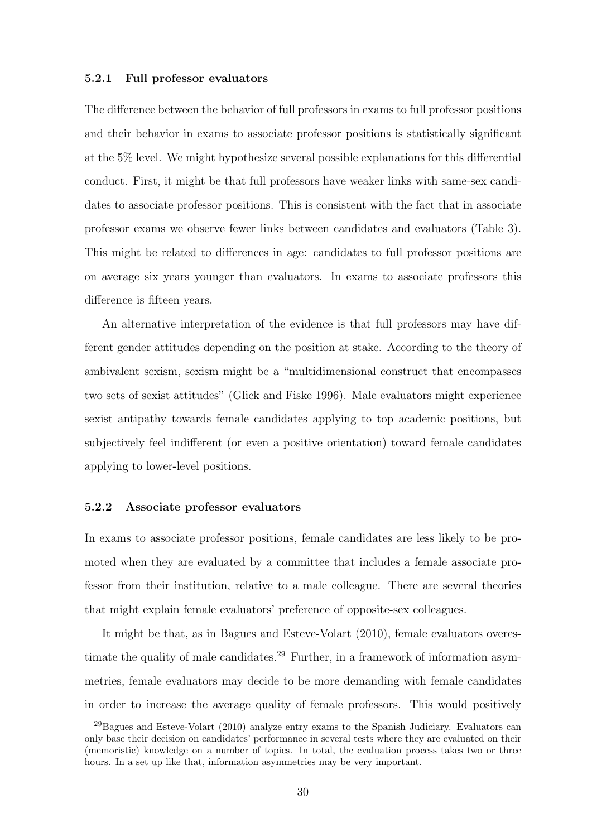#### 5.2.1 Full professor evaluators

The difference between the behavior of full professors in exams to full professor positions and their behavior in exams to associate professor positions is statistically significant at the 5% level. We might hypothesize several possible explanations for this differential conduct. First, it might be that full professors have weaker links with same-sex candidates to associate professor positions. This is consistent with the fact that in associate professor exams we observe fewer links between candidates and evaluators (Table 3). This might be related to differences in age: candidates to full professor positions are on average six years younger than evaluators. In exams to associate professors this difference is fifteen years.

An alternative interpretation of the evidence is that full professors may have different gender attitudes depending on the position at stake. According to the theory of ambivalent sexism, sexism might be a "multidimensional construct that encompasses two sets of sexist attitudes" (Glick and Fiske 1996). Male evaluators might experience sexist antipathy towards female candidates applying to top academic positions, but subjectively feel indifferent (or even a positive orientation) toward female candidates applying to lower-level positions.

#### 5.2.2 Associate professor evaluators

In exams to associate professor positions, female candidates are less likely to be promoted when they are evaluated by a committee that includes a female associate professor from their institution, relative to a male colleague. There are several theories that might explain female evaluators' preference of opposite-sex colleagues.

It might be that, as in Bagues and Esteve-Volart (2010), female evaluators overestimate the quality of male candidates.<sup>29</sup> Further, in a framework of information asymmetries, female evaluators may decide to be more demanding with female candidates in order to increase the average quality of female professors. This would positively

<sup>29</sup>Bagues and Esteve-Volart (2010) analyze entry exams to the Spanish Judiciary. Evaluators can only base their decision on candidates' performance in several tests where they are evaluated on their (memoristic) knowledge on a number of topics. In total, the evaluation process takes two or three hours. In a set up like that, information asymmetries may be very important.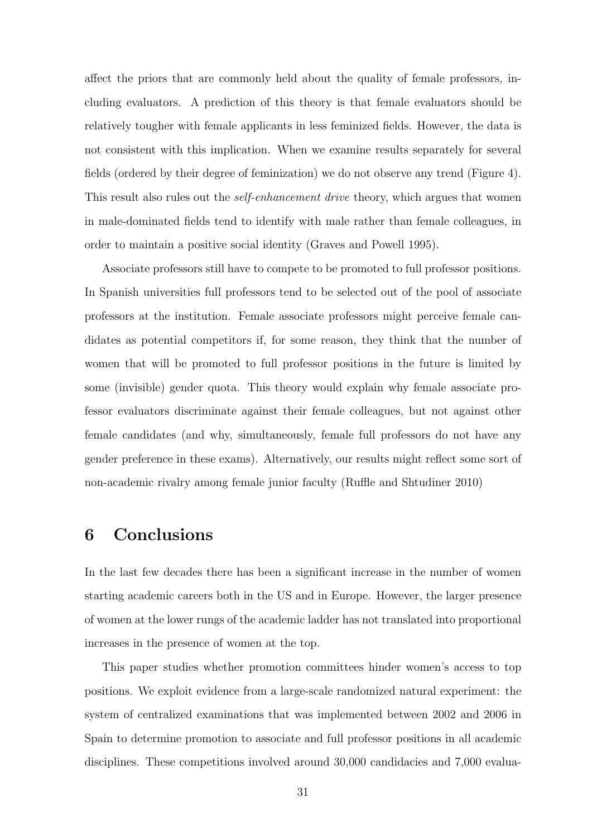affect the priors that are commonly held about the quality of female professors, including evaluators. A prediction of this theory is that female evaluators should be relatively tougher with female applicants in less feminized fields. However, the data is not consistent with this implication. When we examine results separately for several fields (ordered by their degree of feminization) we do not observe any trend (Figure 4). This result also rules out the *self-enhancement drive* theory, which argues that women in male-dominated fields tend to identify with male rather than female colleagues, in order to maintain a positive social identity (Graves and Powell 1995).

Associate professors still have to compete to be promoted to full professor positions. In Spanish universities full professors tend to be selected out of the pool of associate professors at the institution. Female associate professors might perceive female candidates as potential competitors if, for some reason, they think that the number of women that will be promoted to full professor positions in the future is limited by some (invisible) gender quota. This theory would explain why female associate professor evaluators discriminate against their female colleagues, but not against other female candidates (and why, simultaneously, female full professors do not have any gender preference in these exams). Alternatively, our results might reflect some sort of non-academic rivalry among female junior faculty (Ruffle and Shtudiner 2010)

## 6 Conclusions

In the last few decades there has been a significant increase in the number of women starting academic careers both in the US and in Europe. However, the larger presence of women at the lower rungs of the academic ladder has not translated into proportional increases in the presence of women at the top.

This paper studies whether promotion committees hinder women's access to top positions. We exploit evidence from a large-scale randomized natural experiment: the system of centralized examinations that was implemented between 2002 and 2006 in Spain to determine promotion to associate and full professor positions in all academic disciplines. These competitions involved around 30,000 candidacies and 7,000 evalua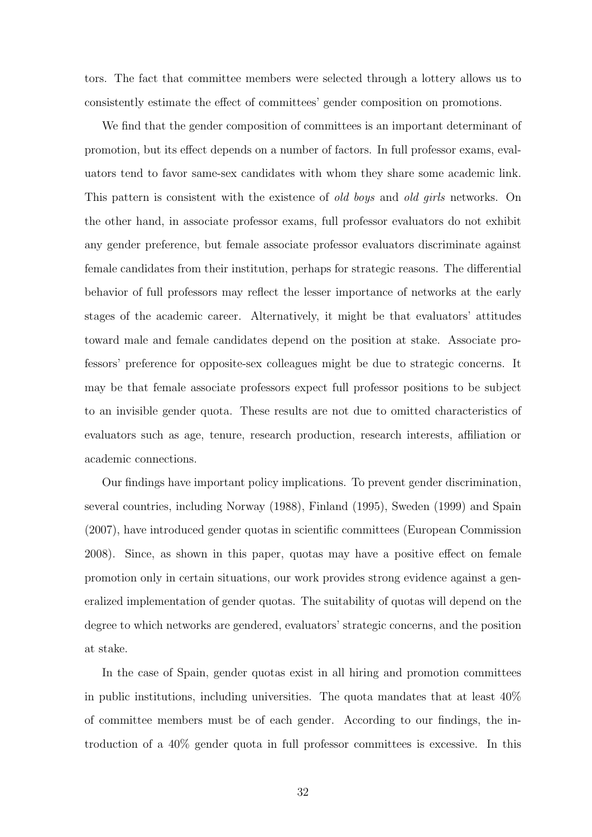tors. The fact that committee members were selected through a lottery allows us to consistently estimate the effect of committees' gender composition on promotions.

We find that the gender composition of committees is an important determinant of promotion, but its effect depends on a number of factors. In full professor exams, evaluators tend to favor same-sex candidates with whom they share some academic link. This pattern is consistent with the existence of *old boys* and *old girls* networks. On the other hand, in associate professor exams, full professor evaluators do not exhibit any gender preference, but female associate professor evaluators discriminate against female candidates from their institution, perhaps for strategic reasons. The differential behavior of full professors may reflect the lesser importance of networks at the early stages of the academic career. Alternatively, it might be that evaluators' attitudes toward male and female candidates depend on the position at stake. Associate professors' preference for opposite-sex colleagues might be due to strategic concerns. It may be that female associate professors expect full professor positions to be subject to an invisible gender quota. These results are not due to omitted characteristics of evaluators such as age, tenure, research production, research interests, affiliation or academic connections.

Our findings have important policy implications. To prevent gender discrimination, several countries, including Norway (1988), Finland (1995), Sweden (1999) and Spain (2007), have introduced gender quotas in scientific committees (European Commission 2008). Since, as shown in this paper, quotas may have a positive effect on female promotion only in certain situations, our work provides strong evidence against a generalized implementation of gender quotas. The suitability of quotas will depend on the degree to which networks are gendered, evaluators' strategic concerns, and the position at stake.

In the case of Spain, gender quotas exist in all hiring and promotion committees in public institutions, including universities. The quota mandates that at least 40% of committee members must be of each gender. According to our findings, the introduction of a 40% gender quota in full professor committees is excessive. In this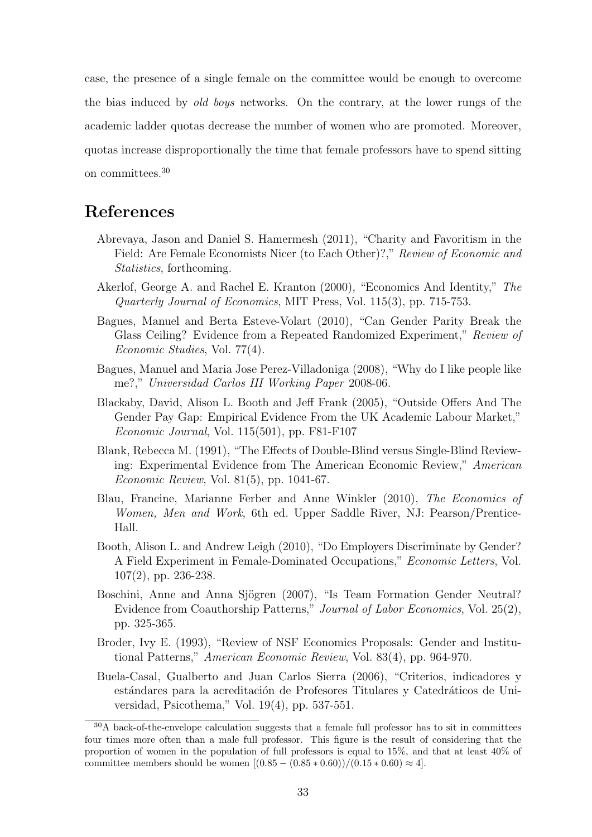case, the presence of a single female on the committee would be enough to overcome the bias induced by *old boys* networks. On the contrary, at the lower rungs of the academic ladder quotas decrease the number of women who are promoted. Moreover, quotas increase disproportionally the time that female professors have to spend sitting on committees.<sup>30</sup>

## References

- Abrevaya, Jason and Daniel S. Hamermesh (2011), "Charity and Favoritism in the Field: Are Female Economists Nicer (to Each Other)?," Review of Economic and Statistics, forthcoming.
- Akerlof, George A. and Rachel E. Kranton (2000), "Economics And Identity," The Quarterly Journal of Economics, MIT Press, Vol. 115(3), pp. 715-753.
- Bagues, Manuel and Berta Esteve-Volart (2010), "Can Gender Parity Break the Glass Ceiling? Evidence from a Repeated Randomized Experiment," Review of Economic Studies, Vol. 77(4).
- Bagues, Manuel and Maria Jose Perez-Villadoniga (2008), "Why do I like people like me?," Universidad Carlos III Working Paper 2008-06.
- Blackaby, David, Alison L. Booth and Jeff Frank (2005), "Outside Offers And The Gender Pay Gap: Empirical Evidence From the UK Academic Labour Market," Economic Journal, Vol. 115(501), pp. F81-F107
- Blank, Rebecca M. (1991), "The Effects of Double-Blind versus Single-Blind Reviewing: Experimental Evidence from The American Economic Review," American Economic Review, Vol. 81(5), pp. 1041-67.
- Blau, Francine, Marianne Ferber and Anne Winkler (2010), The Economics of Women, Men and Work, 6th ed. Upper Saddle River, NJ: Pearson/Prentice-Hall.
- Booth, Alison L. and Andrew Leigh (2010), "Do Employers Discriminate by Gender? A Field Experiment in Female-Dominated Occupations," Economic Letters, Vol. 107(2), pp. 236-238.
- Boschini, Anne and Anna Sjögren (2007), "Is Team Formation Gender Neutral? Evidence from Coauthorship Patterns," Journal of Labor Economics, Vol. 25(2), pp. 325-365.
- Broder, Ivy E. (1993), "Review of NSF Economics Proposals: Gender and Institutional Patterns," American Economic Review, Vol. 83(4), pp. 964-970.
- Buela-Casal, Gualberto and Juan Carlos Sierra (2006), "Criterios, indicadores y estándares para la acreditación de Profesores Titulares y Catedráticos de Universidad, Psicothema," Vol. 19(4), pp. 537-551.

<sup>30</sup>A back-of-the-envelope calculation suggests that a female full professor has to sit in committees four times more often than a male full professor. This figure is the result of considering that the proportion of women in the population of full professors is equal to 15%, and that at least 40% of committee members should be women  $[(0.85 - (0.85 * 0.60)) / (0.15 * 0.60) \approx 4]$ .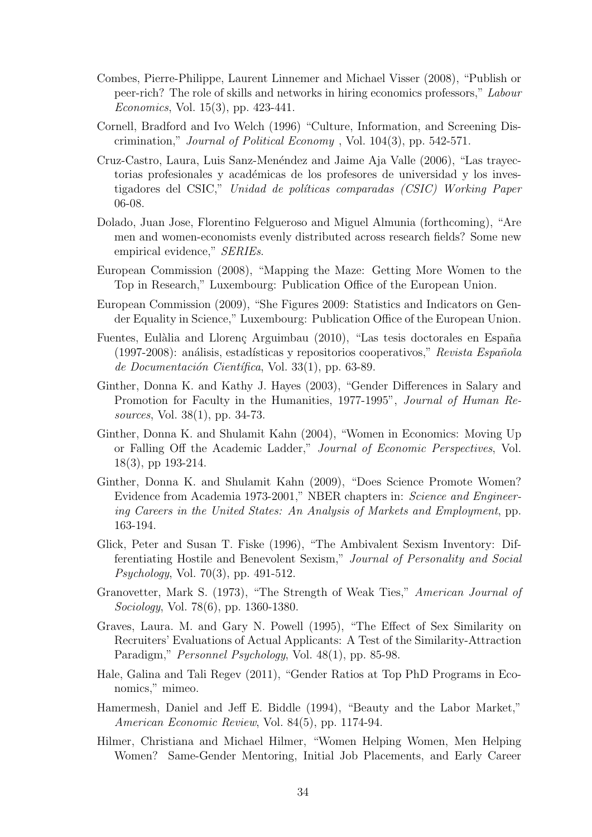- Combes, Pierre-Philippe, Laurent Linnemer and Michael Visser (2008), "Publish or peer-rich? The role of skills and networks in hiring economics professors," Labour Economics, Vol. 15(3), pp. 423-441.
- Cornell, Bradford and Ivo Welch (1996) "Culture, Information, and Screening Discrimination," Journal of Political Economy , Vol. 104(3), pp. 542-571.
- Cruz-Castro, Laura, Luis Sanz-Menéndez and Jaime Aja Valle (2006), "Las trayectorias profesionales y académicas de los profesores de universidad y los investigadores del CSIC," Unidad de políticas comparadas (CSIC) Working Paper 06-08.
- Dolado, Juan Jose, Florentino Felgueroso and Miguel Almunia (forthcoming), "Are men and women-economists evenly distributed across research fields? Some new empirical evidence," SERIEs.
- European Commission (2008), "Mapping the Maze: Getting More Women to the Top in Research," Luxembourg: Publication Office of the European Union.
- European Commission (2009), "She Figures 2009: Statistics and Indicators on Gender Equality in Science," Luxembourg: Publication Office of the European Union.
- Fuentes, Eulàlia and Llorenç Arguimbau (2010), "Las tesis doctorales en España (1997-2008): análisis, estadísticas y repositorios cooperativos," Revista Española de Documentación Científica, Vol. 33(1), pp. 63-89.
- Ginther, Donna K. and Kathy J. Hayes (2003), "Gender Differences in Salary and Promotion for Faculty in the Humanities, 1977-1995", Journal of Human Resources, Vol. 38(1), pp. 34-73.
- Ginther, Donna K. and Shulamit Kahn (2004), "Women in Economics: Moving Up or Falling Off the Academic Ladder," Journal of Economic Perspectives, Vol. 18(3), pp 193-214.
- Ginther, Donna K. and Shulamit Kahn (2009), "Does Science Promote Women? Evidence from Academia 1973-2001," NBER chapters in: Science and Engineering Careers in the United States: An Analysis of Markets and Employment, pp. 163-194.
- Glick, Peter and Susan T. Fiske (1996), "The Ambivalent Sexism Inventory: Differentiating Hostile and Benevolent Sexism," Journal of Personality and Social Psychology, Vol. 70(3), pp. 491-512.
- Granovetter, Mark S. (1973), "The Strength of Weak Ties," American Journal of Sociology, Vol. 78(6), pp. 1360-1380.
- Graves, Laura. M. and Gary N. Powell (1995), "The Effect of Sex Similarity on Recruiters' Evaluations of Actual Applicants: A Test of the Similarity-Attraction Paradigm," Personnel Psychology, Vol. 48(1), pp. 85-98.
- Hale, Galina and Tali Regev (2011), "Gender Ratios at Top PhD Programs in Economics," mimeo.
- Hamermesh, Daniel and Jeff E. Biddle (1994), "Beauty and the Labor Market," American Economic Review, Vol. 84(5), pp. 1174-94.
- Hilmer, Christiana and Michael Hilmer, "Women Helping Women, Men Helping Women? Same-Gender Mentoring, Initial Job Placements, and Early Career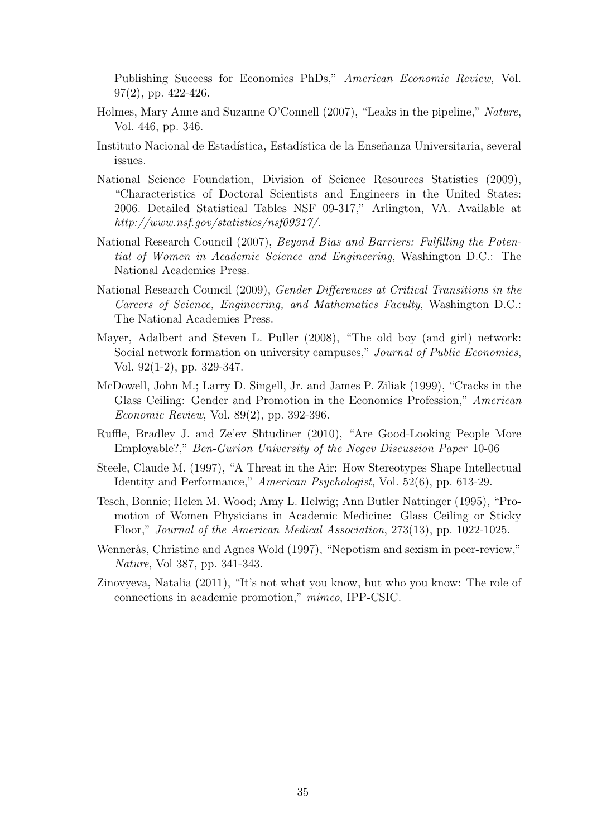Publishing Success for Economics PhDs," American Economic Review, Vol. 97(2), pp. 422-426.

- Holmes, Mary Anne and Suzanne O'Connell (2007), "Leaks in the pipeline," Nature, Vol. 446, pp. 346.
- Instituto Nacional de Estadística, Estadística de la Enseñanza Universitaria, several issues.
- National Science Foundation, Division of Science Resources Statistics (2009), "Characteristics of Doctoral Scientists and Engineers in the United States: 2006. Detailed Statistical Tables NSF 09-317," Arlington, VA. Available at http://www.nsf.gov/statistics/nsf09317/.
- National Research Council (2007), Beyond Bias and Barriers: Fulfilling the Potential of Women in Academic Science and Engineering, Washington D.C.: The National Academies Press.
- National Research Council (2009), Gender Differences at Critical Transitions in the Careers of Science, Engineering, and Mathematics Faculty, Washington D.C.: The National Academies Press.
- Mayer, Adalbert and Steven L. Puller (2008), "The old boy (and girl) network: Social network formation on university campuses," Journal of Public Economics, Vol. 92(1-2), pp. 329-347.
- McDowell, John M.; Larry D. Singell, Jr. and James P. Ziliak (1999), "Cracks in the Glass Ceiling: Gender and Promotion in the Economics Profession," American Economic Review, Vol. 89(2), pp. 392-396.
- Ruffle, Bradley J. and Ze'ev Shtudiner (2010), "Are Good-Looking People More Employable?," Ben-Gurion University of the Negev Discussion Paper 10-06
- Steele, Claude M. (1997), "A Threat in the Air: How Stereotypes Shape Intellectual Identity and Performance," American Psychologist, Vol. 52(6), pp. 613-29.
- Tesch, Bonnie; Helen M. Wood; Amy L. Helwig; Ann Butler Nattinger (1995), "Promotion of Women Physicians in Academic Medicine: Glass Ceiling or Sticky Floor," Journal of the American Medical Association, 273(13), pp. 1022-1025.
- Wennerås, Christine and Agnes Wold (1997), "Nepotism and sexism in peer-review," Nature, Vol 387, pp. 341-343.
- Zinovyeva, Natalia (2011), "It's not what you know, but who you know: The role of connections in academic promotion," mimeo, IPP-CSIC.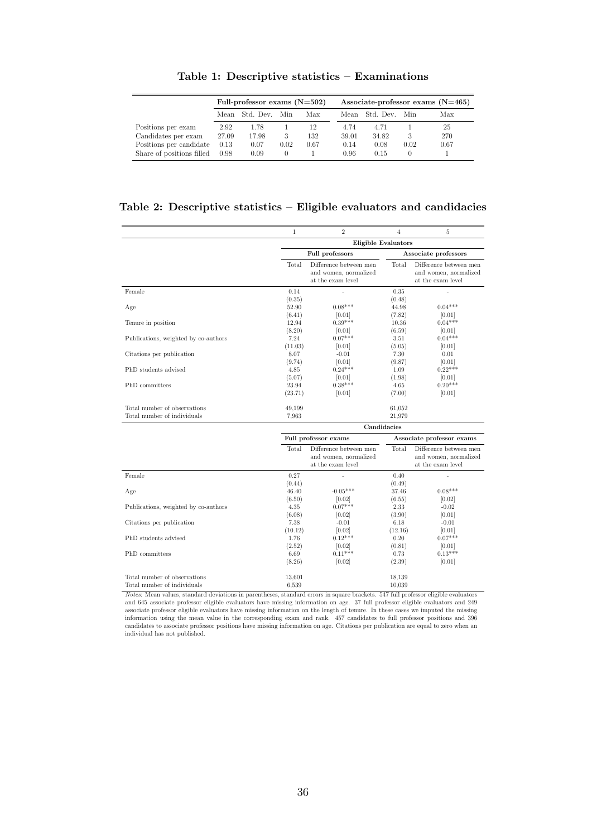|                           | Full-professor exams $(N=502)$ |           |      | Associate-professor exams $(N=465)$ |       |           |                  |      |
|---------------------------|--------------------------------|-----------|------|-------------------------------------|-------|-----------|------------------|------|
|                           | Mean                           | Std. Dev. | Min  | Max                                 | Mean  | Std. Dev. | Min              | Max  |
| Positions per exam        | 2.92                           | 1.78      |      | 12                                  | 4.74  | 4.71      |                  | 25   |
| Candidates per exam       | 27.09                          | 17.98     | З    | 132                                 | 39.01 | 34.82     | 3                | 270  |
| Positions per candidate   | 0.13                           | 0.07      | 0.02 | 0.67                                | 0.14  | 0.08      | 0.02             | 0.67 |
| Share of positions filled | 0.98                           | 0.09      | 0    |                                     | 0.96  | 0.15      | $\left( \right)$ |      |

Table 1: Descriptive statistics – Examinations

### Table 2: Descriptive statistics – Eligible evaluators and candidacies

|                                                             | $\mathbf 1$               | $\overline{2}$                                                       | $\overline{4}$            | $\overline{5}$                                                       |
|-------------------------------------------------------------|---------------------------|----------------------------------------------------------------------|---------------------------|----------------------------------------------------------------------|
|                                                             |                           | <b>Eligible Evaluators</b>                                           |                           |                                                                      |
|                                                             |                           | <b>Full professors</b>                                               |                           | Associate professors                                                 |
|                                                             | Total                     | Difference between men<br>and women, normalized<br>at the exam level | Total                     | Difference between men<br>and women, normalized<br>at the exam level |
| Female                                                      | 0.14                      |                                                                      | 0.35                      |                                                                      |
| Age                                                         | (0.35)<br>52.90<br>(6.41) | $0.08***$<br>[0.01]                                                  | (0.48)<br>44.98<br>(7.82) | $0.04***$<br>[0.01]                                                  |
| Tenure in position                                          | 12.94<br>(8.20)           | $0.39***$<br> 0.01                                                   | 10.36<br>(6.59)           | $0.04***$<br> 0.01                                                   |
| Publications, weighted by co-authors                        | 7.24<br>(11.03)           | $0.07***$<br> 0.01                                                   | 3.51<br>(5.05)            | $0.04***$<br> 0.01                                                   |
| Citations per publication                                   | 8.07<br>(9.74)            | $-0.01$<br> 0.01                                                     | 7.30<br>(9.87)            | 0.01<br> 0.01                                                        |
| PhD students advised                                        | 4.85<br>(5.07)            | $0.24***$<br>[0.01]                                                  | 1.09<br>(1.98)            | $0.22***$<br>[0.01]                                                  |
| PhD committees                                              | 23.94<br>(23.71)          | $0.38***$<br>[0.01]                                                  | 4.65<br>(7.00)            | $0.20***$<br>[0.01]                                                  |
| Total number of observations<br>Total number of individuals | 49,199<br>7.963           |                                                                      | 61,052<br>21,979          |                                                                      |
|                                                             |                           | Candidacies                                                          |                           |                                                                      |
|                                                             |                           | Full professor exams                                                 |                           | Associate professor exams                                            |
|                                                             | Total                     | Difference between men<br>and women, normalized<br>at the exam level | Total                     | Difference between men<br>and women, normalized<br>at the exam level |
| Female                                                      | 0.27                      |                                                                      | 0.40                      |                                                                      |
| Age                                                         | (0.44)<br>46.40<br>(6.50) | $-0.05***$                                                           | (0.49)<br>37.46           | $0.08***$                                                            |
| Publications, weighted by co-authors                        | 4.35<br>(6.08)            | [0.02]<br>$0.07***$<br>[0.02]                                        | (6.55)<br>2.33<br>(3.90)  | [0.02]<br>$-0.02$<br>[0.01]                                          |
| Citations per publication                                   | 7.38<br>(10.12)           | $-0.01$<br>[0.02]                                                    | 6.18<br>(12.16)           | $-0.01$<br> 0.01                                                     |
| PhD students advised                                        | 1.76<br>(2.52)            | $0.12***$<br>[0.02]                                                  | 0.20<br>(0.81)            | $0.07***$<br>[0.01]                                                  |
| PhD committees                                              | 6.69<br>(8.26)            | $0.11***$<br>[0.02]                                                  | 0.73<br>(2.39)            | $0.13***$<br>[0.01]                                                  |
| Total number of observations<br>Total number of individuals | 13,601<br>6.539           |                                                                      | 18,139<br>10,039          |                                                                      |

Notes: Mean values, standard deviations in parentheses, standard errors in square brackets. 547 full professor eligible evaluators and 645 associate professor eligible evaluators have missing information on age. 37 full professor eligible evaluators and 249 and our associate professor religible evaluators have missing information on age. Of the professor religible evaluators have missing information on the length of tentre. In these cases we imputed the missing information us individual has not published.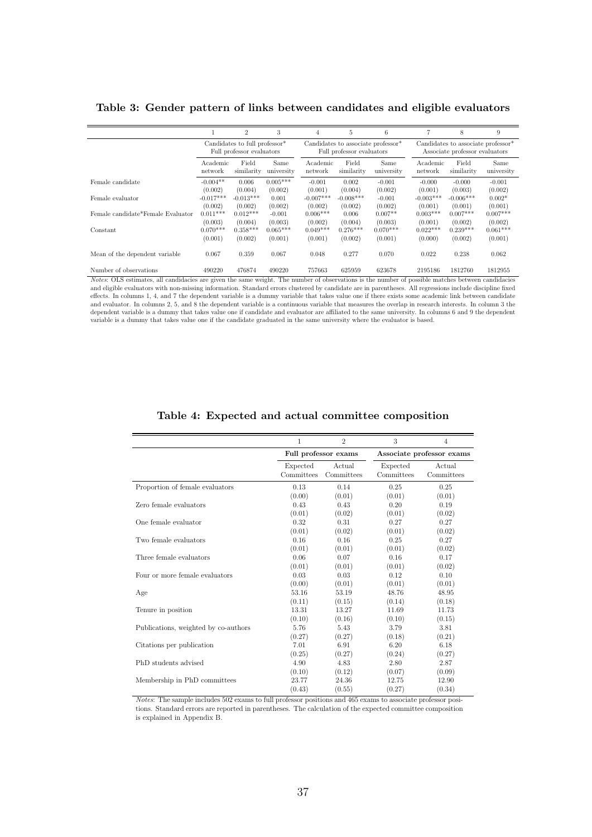|                                   |                                                                        | $\overline{2}$ | 3          | 4           | 5                                                                           | 6          |             | 8                                                                                | 9          |  |
|-----------------------------------|------------------------------------------------------------------------|----------------|------------|-------------|-----------------------------------------------------------------------------|------------|-------------|----------------------------------------------------------------------------------|------------|--|
|                                   | Candidates to full professor <sup>*</sup><br>Full professor evaluators |                |            |             | Candidates to associate professor <sup>*</sup><br>Full professor evaluators |            |             | Candidates to associate professor <sup>*</sup><br>Associate professor evaluators |            |  |
|                                   | Academic                                                               | Field          | Same       | Academic    | Field                                                                       | Same       | Academic    | Field                                                                            | Same       |  |
|                                   | network                                                                | similarity     | university | network     | similarity                                                                  | university | network     | similarity                                                                       | university |  |
| Female candidate                  | $-0.004**$                                                             | 0.006          | $0.005***$ | $-0.001$    | 0.002                                                                       | $-0.001$   | $-0.000$    | $-0.000$                                                                         | $-0.001$   |  |
|                                   | (0.002)                                                                | (0.004)        | (0.002)    | (0.001)     | (0.004)                                                                     | (0.002)    | (0.001)     | (0.003)                                                                          | (0.002)    |  |
| Female evaluator                  | $-0.017***$                                                            | $-0.013***$    | 0.001      | $-0.007***$ | $-0.008***$                                                                 | $-0.001$   | $-0.003***$ | $-0.006***$                                                                      | $0.002*$   |  |
|                                   | (0.002)                                                                | (0.002)        | (0.002)    | (0.002)     | (0.002)                                                                     | (0.002)    | (0.001)     | (0.001)                                                                          | (0.001)    |  |
| Female candidate*Female Evaluator | $0.011***$                                                             | $0.012***$     | $-0.001$   | $0.006***$  | 0.006                                                                       | $0.007**$  | $0.003***$  | $0.007***$                                                                       | $0.007***$ |  |
|                                   | (0.003)                                                                | (0.004)        | (0.003)    | (0.002)     | (0.004)                                                                     | (0.003)    | (0.001)     | (0.002)                                                                          | (0.002)    |  |
| Constant                          | $0.070***$                                                             | $0.358***$     | $0.065***$ | $0.049***$  | $0.276***$                                                                  | $0.070***$ | $0.022***$  | $0.239***$                                                                       | $0.061***$ |  |
|                                   | (0.001)                                                                | (0.002)        | (0.001)    | (0.001)     | (0.002)                                                                     | (0.001)    | (0.000)     | (0.002)                                                                          | (0.001)    |  |
| Mean of the dependent variable.   | 0.067                                                                  | 0.359          | 0.067      | 0.048       | 0.277                                                                       | 0.070      | 0.022       | 0.238                                                                            | 0.062      |  |
| Number of observations            | 490220                                                                 | 476874         | 490220     | 757663      | 625959                                                                      | 623678     | 2195186     | 1812760                                                                          | 1812955    |  |

#### Table 3: Gender pattern of links between candidates and eligible evaluators

Notes: OLS estimates, all candidacies are given the same weight. The number of observations is the number of possible matches between candidacies and eligible evaluators with non-missing information. Standard errors clustered by candidate are in parentheses. All regressions include discipline fixed effects. In columns 1, 4, and 7 the dependent variable is a dummy variable that takes value one if there exists some academic link between candidate and evaluator. In columns 2, 5, and 8 the dependent variable is a continuous variable that measures the overlap in research interests. In column 3 the dependent variable is a dummy that takes value one if candidate and evaluator are affiliated to the same university. In columns 6 and 9 the dependent variable is a dummy that takes value one if the candidate graduated in the same university where the evaluator is based.

|                                      | 1                      | $\overline{2}$       | 3                      | $\overline{4}$            |
|--------------------------------------|------------------------|----------------------|------------------------|---------------------------|
|                                      |                        | Full professor exams |                        | Associate professor exams |
|                                      | Expected<br>Committees | Actual<br>Committees | Expected<br>Committees | Actual<br>Committees      |
| Proportion of female evaluators      | 0.13                   | 0.14                 | 0.25                   | 0.25                      |
|                                      | (0.00)                 | (0.01)               | (0.01)                 | (0.01)                    |
| Zero female evaluators               | 0.43                   | 0.43                 | 0.20                   | 0.19                      |
|                                      | (0.01)                 | (0.02)               | (0.01)                 | (0.02)                    |
| One female evaluator                 | 0.32                   | 0.31                 | 0.27                   | 0.27                      |
|                                      | (0.01)                 | (0.02)               | (0.01)                 | (0.02)                    |
| Two female evaluators                | 0.16                   | 0.16                 | 0.25                   | 0.27                      |
|                                      | (0.01)                 | (0.01)               | (0.01)                 | (0.02)                    |
| Three female evaluators              | 0.06                   | 0.07                 | 0.16                   | 0.17                      |
|                                      | (0.01)                 | (0.01)               | (0.01)                 | (0.02)                    |
| Four or more female evaluators       | 0.03                   | 0.03                 | 0.12                   | 0.10                      |
|                                      | (0.00)                 | (0.01)               | (0.01)                 | (0.01)                    |
| Age                                  | 53.16                  | 53.19                | 48.76                  | 48.95                     |
|                                      | (0.11)                 | (0.15)               | (0.14)                 | (0.18)                    |
| Tenure in position                   | 13.31                  | 13.27                | 11.69                  | 11.73                     |
|                                      | (0.10)                 | (0.16)               | (0.10)                 | (0.15)                    |
| Publications, weighted by co-authors | 5.76                   | 5.43                 | 3.79                   | 3.81                      |
|                                      | (0.27)                 | (0.27)               | (0.18)                 | (0.21)                    |
| Citations per publication            | 7.01                   | 6.91                 | 6.20                   | 6.18                      |
|                                      | (0.25)                 | (0.27)               | (0.24)                 | (0.27)                    |
| PhD students advised                 | 4.90                   | 4.83                 | 2.80                   | 2.87                      |
|                                      | (0.10)                 | (0.12)               | (0.07)                 | (0.09)                    |
| Membership in PhD committees         | 23.77                  | 24.36                | 12.75                  | 12.90                     |
|                                      | (0.43)                 | (0.55)               | (0.27)                 | (0.34)                    |

#### Table 4: Expected and actual committee composition

Notes: The sample includes 502 exams to full professor positions and 465 exams to associate professor positions. Standard errors are reported in parentheses. The calculation of the expected committee composition is explained in Appendix B.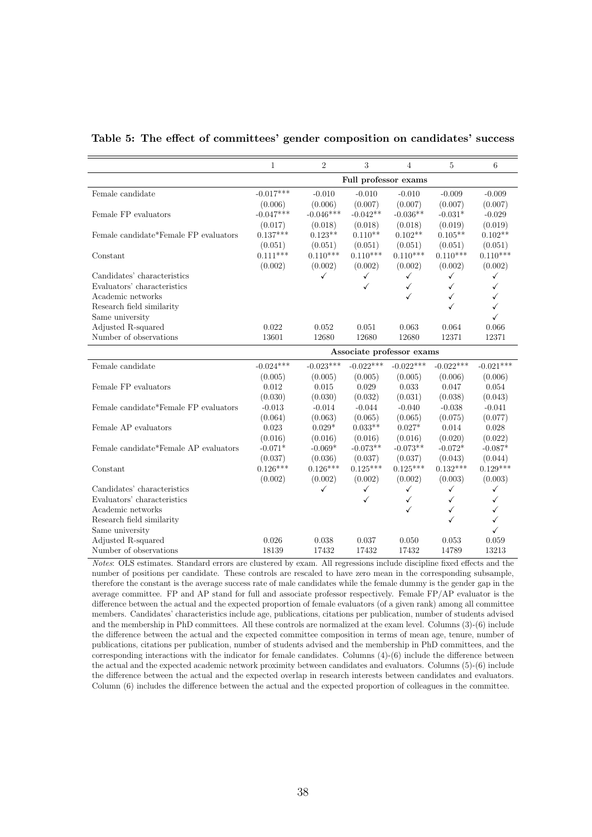|                                       | $\mathbf{1}$              | $\overline{2}$ | $\,3$        | $\overline{4}$ | 5            | $\,$ 6 $\,$  |  |  |  |
|---------------------------------------|---------------------------|----------------|--------------|----------------|--------------|--------------|--|--|--|
|                                       | Full professor exams      |                |              |                |              |              |  |  |  |
| Female candidate                      | $-0.017***$               | $-0.010$       | $-0.010$     | $-0.010$       | $-0.009$     | $-0.009$     |  |  |  |
|                                       | (0.006)                   | (0.006)        | (0.007)      | (0.007)        | (0.007)      | (0.007)      |  |  |  |
| Female FP evaluators                  | $-0.047***$               | $-0.046***$    | $-0.042**$   | $-0.036**$     | $-0.031*$    | $-0.029$     |  |  |  |
|                                       | (0.017)                   | (0.018)        | (0.018)      | (0.018)        | (0.019)      | (0.019)      |  |  |  |
| Female candidate*Female FP evaluators | $0.137***$                | $0.123**$      | $0.110**$    | $0.102**$      | $0.105**$    | $0.102**$    |  |  |  |
|                                       | (0.051)                   | (0.051)        | (0.051)      | (0.051)        | (0.051)      | (0.051)      |  |  |  |
| Constant                              | $0.111***$                | $0.110***$     | $0.110***$   | $0.110***$     | $0.110***$   | $0.110***$   |  |  |  |
|                                       | (0.002)                   | (0.002)        | (0.002)      | (0.002)        | (0.002)      | (0.002)      |  |  |  |
| Candidates' characteristics           |                           | ✓              | $\checkmark$ | $\checkmark$   | ✓            | $\checkmark$ |  |  |  |
| Evaluators' characteristics           |                           |                | ✓            | ✓              | $\checkmark$ | ✓            |  |  |  |
| Academic networks                     |                           |                |              | ✓              | $\checkmark$ | ✓            |  |  |  |
| Research field similarity             |                           |                |              |                | ✓            | $\checkmark$ |  |  |  |
| Same university                       |                           |                |              |                |              | ✓            |  |  |  |
| Adjusted R-squared                    | 0.022                     | 0.052          | 0.051        | 0.063          | 0.064        | 0.066        |  |  |  |
| Number of observations                | 13601                     | 12680          | 12680        | 12680          | 12371        | 12371        |  |  |  |
|                                       | Associate professor exams |                |              |                |              |              |  |  |  |
| Female candidate                      | $-0.024***$               | $-0.023***$    | $-0.022***$  | $-0.022***$    | $-0.022***$  | $-0.021***$  |  |  |  |
|                                       |                           |                |              |                |              |              |  |  |  |
|                                       | (0.005)<br>0.012          | (0.005)        | (0.005)      | (0.005)        | (0.006)      | (0.006)      |  |  |  |
| Female FP evaluators                  |                           | 0.015          | 0.029        | 0.033          | 0.047        | 0.054        |  |  |  |
|                                       | (0.030)                   | (0.030)        | (0.032)      | (0.031)        | (0.038)      | (0.043)      |  |  |  |
| Female candidate*Female FP evaluators | $-0.013$                  | $-0.014$       | $-0.044$     | $-0.040$       | $-0.038$     | $-0.041$     |  |  |  |
|                                       | (0.064)                   | (0.063)        | (0.065)      | (0.065)        | (0.075)      | (0.077)      |  |  |  |
| Female AP evaluators                  | 0.023                     | $0.029*$       | $0.033**$    | $0.027*$       | 0.014        | 0.028        |  |  |  |
|                                       | (0.016)                   | (0.016)        | (0.016)      | (0.016)        | (0.020)      | (0.022)      |  |  |  |
| Female candidate*Female AP evaluators | $-0.071*$                 | $-0.069*$      | $-0.073**$   | $-0.073**$     | $-0.072*$    | $-0.087*$    |  |  |  |
|                                       | (0.037)                   | (0.036)        | (0.037)      | (0.037)        | (0.043)      | (0.044)      |  |  |  |
| Constant                              | $0.126***$                | $0.126***$     | $0.125***$   | $0.125***$     | $0.132***$   | $0.129***$   |  |  |  |
|                                       | (0.002)                   | (0.002)        | (0.002)      | (0.002)        | (0.003)      | (0.003)      |  |  |  |
| Candidates' characteristics           |                           | ✓              | $\checkmark$ | ✓              | $\checkmark$ | $\checkmark$ |  |  |  |
| Evaluators' characteristics           |                           |                | $\checkmark$ | ✓              | $\checkmark$ | ✓            |  |  |  |
| Academic networks                     |                           |                |              | ✓              | $\checkmark$ | ✓            |  |  |  |
| Research field similarity             |                           |                |              |                | ✓            | ✓            |  |  |  |
| Same university                       |                           |                |              |                |              | $\checkmark$ |  |  |  |
| Adjusted R-squared                    | 0.026                     | 0.038          | 0.037        | 0.050          | 0.053        | 0.059        |  |  |  |
| Number of observations                | 18139                     | 17432          | 17432        | 17432          | 14789        | 13213        |  |  |  |

Table 5: The effect of committees' gender composition on candidates' success

Notes: OLS estimates. Standard errors are clustered by exam. All regressions include discipline fixed effects and the number of positions per candidate. These controls are rescaled to have zero mean in the corresponding subsample, therefore the constant is the average success rate of male candidates while the female dummy is the gender gap in the average committee. FP and AP stand for full and associate professor respectively. Female FP/AP evaluator is the difference between the actual and the expected proportion of female evaluators (of a given rank) among all committee members. Candidates' characteristics include age, publications, citations per publication, number of students advised and the membership in PhD committees. All these controls are normalized at the exam level. Columns (3)-(6) include the difference between the actual and the expected committee composition in terms of mean age, tenure, number of publications, citations per publication, number of students advised and the membership in PhD committees, and the corresponding interactions with the indicator for female candidates. Columns (4)-(6) include the difference between the actual and the expected academic network proximity between candidates and evaluators. Columns (5)-(6) include the difference between the actual and the expected overlap in research interests between candidates and evaluators. Column (6) includes the difference between the actual and the expected proportion of colleagues in the committee.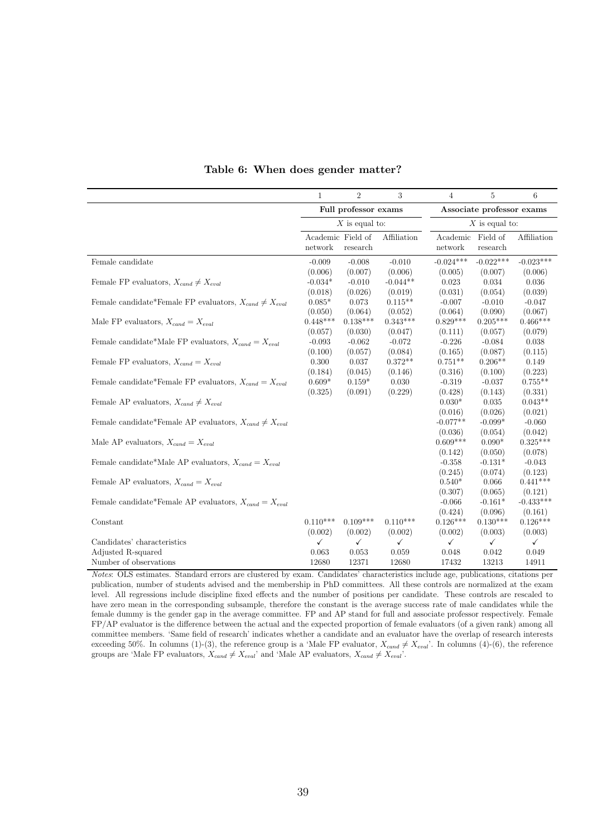|                                                                 | 1                    | $\overline{2}$    | 3            | 4            | $\overline{5}$            | 6            |  |  |
|-----------------------------------------------------------------|----------------------|-------------------|--------------|--------------|---------------------------|--------------|--|--|
|                                                                 | Full professor exams |                   |              |              | Associate professor exams |              |  |  |
|                                                                 | $X$ is equal to:     |                   |              |              | $X$ is equal to:          |              |  |  |
|                                                                 |                      | Academic Field of | Affiliation  | Academic     | Field of                  | Affiliation  |  |  |
|                                                                 | network              | research          |              | network      | research                  |              |  |  |
| Female candidate                                                | $-0.009$             | $-0.008$          | $-0.010$     | $-0.024***$  | $-0.022***$               | $-0.023***$  |  |  |
|                                                                 | (0.006)              | (0.007)           | (0.006)      | (0.005)      | (0.007)                   | (0.006)      |  |  |
| Female FP evaluators, $X_{cand} \neq X_{eval}$                  | $-0.034*$            | $-0.010$          | $-0.044**$   | 0.023        | 0.034                     | 0.036        |  |  |
|                                                                 | (0.018)              | (0.026)           | (0.019)      | (0.031)      | (0.054)                   | (0.039)      |  |  |
| Female candidate*Female FP evaluators, $X_{cand} \neq X_{eval}$ | $0.085*$             | 0.073             | $0.115**$    | $-0.007$     | $-0.010$                  | $-0.047$     |  |  |
|                                                                 | (0.050)              | (0.064)           | (0.052)      | (0.064)      | (0.090)                   | (0.067)      |  |  |
| Male FP evaluators, $X_{cand} = X_{eval}$                       | $0.448***$           | $0.138***$        | $0.343***$   | $0.829***$   | $0.205***$                | $0.466***$   |  |  |
|                                                                 | (0.057)              | (0.030)           | (0.047)      | (0.111)      | (0.057)                   | (0.079)      |  |  |
| Female candidate*Male FP evaluators, $X_{cand} = X_{eval}$      | $-0.093$             | $-0.062$          | $-0.072$     | $-0.226$     | $-0.084$                  | 0.038        |  |  |
|                                                                 | (0.100)              | (0.057)           | (0.084)      | (0.165)      | (0.087)                   | (0.115)      |  |  |
| Female FP evaluators, $X_{cand} = X_{eval}$                     | 0.300                | 0.037             | $0.372**$    | $0.751**$    | $0.206**$                 | 0.149        |  |  |
|                                                                 | (0.184)              | (0.045)           | (0.146)      | (0.316)      | (0.100)                   | (0.223)      |  |  |
| Female candidate*Female FP evaluators, $X_{cand} = X_{eval}$    | $0.609*$             | $0.159*$          | 0.030        | $-0.319$     | $-0.037$                  | $0.755**$    |  |  |
|                                                                 | (0.325)              | (0.091)           | (0.229)      | (0.428)      | (0.143)                   | (0.331)      |  |  |
| Female AP evaluators, $X_{cand} \neq X_{eval}$                  |                      |                   |              | $0.030*$     | 0.035                     | $0.043**$    |  |  |
|                                                                 |                      |                   |              | (0.016)      | (0.026)                   | (0.021)      |  |  |
| Female candidate*Female AP evaluators, $X_{cand} \neq X_{eval}$ |                      |                   |              | $-0.077**$   | $-0.099*$                 | $-0.060$     |  |  |
|                                                                 |                      |                   |              | (0.036)      | (0.054)                   | (0.042)      |  |  |
| Male AP evaluators, $X_{cand} = X_{eval}$                       |                      |                   |              | $0.609***$   | $0.090*$                  | $0.325***$   |  |  |
|                                                                 |                      |                   |              | (0.142)      | (0.050)                   | (0.078)      |  |  |
| Female candidate*Male AP evaluators, $X_{cand} = X_{eval}$      |                      |                   |              | $-0.358$     | $-0.131*$                 | $-0.043$     |  |  |
|                                                                 |                      |                   |              | (0.245)      | (0.074)                   | (0.123)      |  |  |
| Female AP evaluators, $X_{cand} = X_{eval}$                     |                      |                   |              | $0.540*$     | 0.066                     | $0.441***$   |  |  |
|                                                                 |                      |                   |              | (0.307)      | (0.065)                   | (0.121)      |  |  |
| Female candidate*Female AP evaluators, $X_{cand} = X_{eval}$    |                      |                   |              | $-0.066$     | $-0.161*$                 | $-0.433***$  |  |  |
|                                                                 |                      |                   |              | (0.424)      | (0.096)                   | (0.161)      |  |  |
| Constant                                                        | $0.110***$           | $0.109***$        | $0.110***$   | $0.126***$   | $0.130***$                | $0.126***$   |  |  |
|                                                                 | (0.002)              | (0.002)           | (0.002)      | (0.002)      | (0.003)                   | (0.003)      |  |  |
| Candidates' characteristics                                     | $\checkmark$         | ✓                 | $\checkmark$ | $\checkmark$ | $\checkmark$              | $\checkmark$ |  |  |
| Adjusted R-squared                                              | 0.063                | 0.053             | 0.059        | 0.048        | 0.042                     | 0.049        |  |  |
| Number of observations                                          | 12680                | 12371             | 12680        | 17432        | 13213                     | 14911        |  |  |

#### Table 6: When does gender matter?

Notes: OLS estimates. Standard errors are clustered by exam. Candidates' characteristics include age, publications, citations per publication, number of students advised and the membership in PhD committees. All these controls are normalized at the exam level. All regressions include discipline fixed effects and the number of positions per candidate. These controls are rescaled to have zero mean in the corresponding subsample, therefore the constant is the average success rate of male candidates while the female dummy is the gender gap in the average committee. FP and AP stand for full and associate professor respectively. Female FP/AP evaluator is the difference between the actual and the expected proportion of female evaluators (of a given rank) among all committee members. 'Same field of research' indicates whether a candidate and an evaluator have the overlap of research interests exceeding 50%. In columns (1)-(3), the reference group is a 'Male FP evaluator,  $X_{cand} \neq X_{eval}$ '. In columns (4)-(6), the reference groups are 'Male FP evaluators,  $\chi'_{cand} \neq X_{eval}$ ' and 'Male AP evaluators,  $X_{cand} \neq X_{eval}$ '.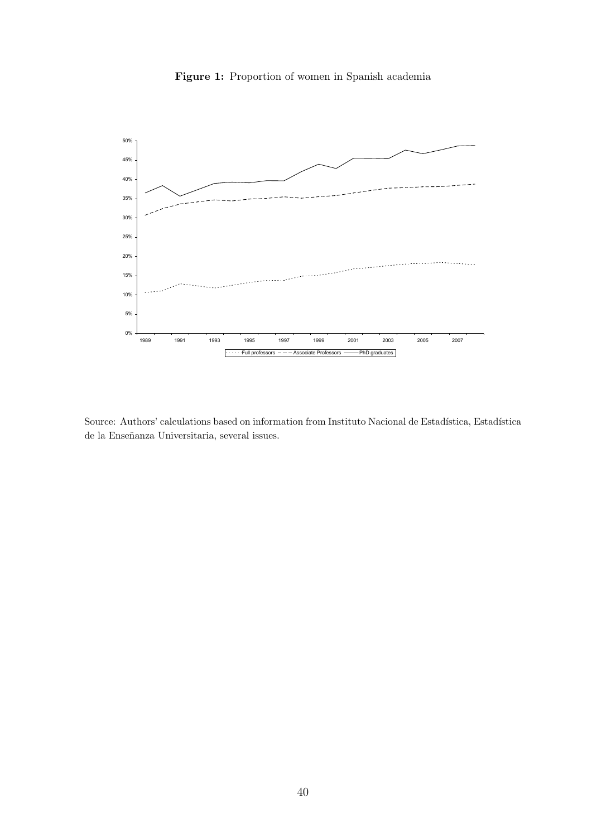

Figure 1: Proportion of women in Spanish academia

Source: Authors' calculations based on information from Instituto Nacional de Estadística, Estadística de la Enseñanza Universitaria, several issues.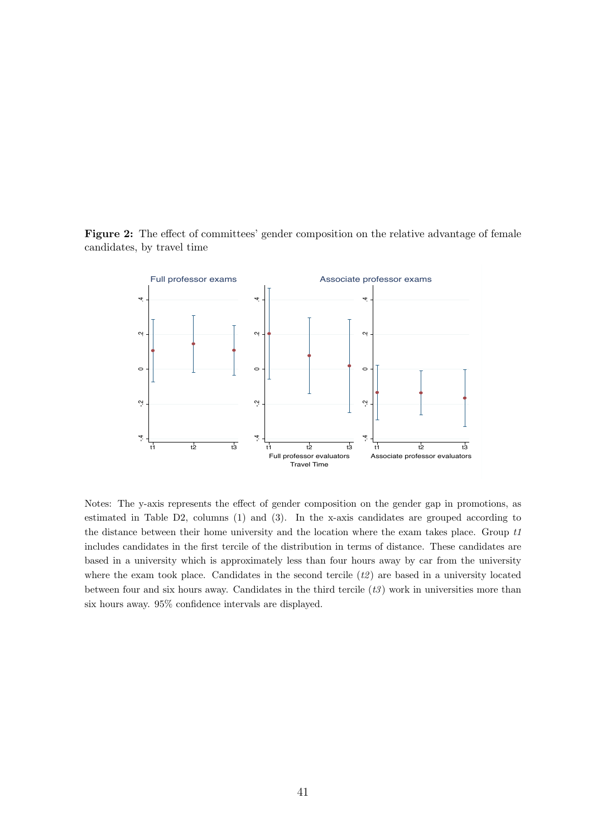Figure 2: The effect of committees' gender composition on the relative advantage of female candidates, by travel time



Notes: The y-axis represents the effect of gender composition on the gender gap in promotions, as estimated in Table D2, columns (1) and (3). In the x-axis candidates are grouped according to the distance between their home university and the location where the exam takes place. Group  $t_1$ includes candidates in the first tercile of the distribution in terms of distance. These candidates are based in a university which is approximately less than four hours away by car from the university where the exam took place. Candidates in the second tercile  $(t2)$  are based in a university located between four and six hours away. Candidates in the third tercile  $(t3)$  work in universities more than six hours away. 95% confidence intervals are displayed.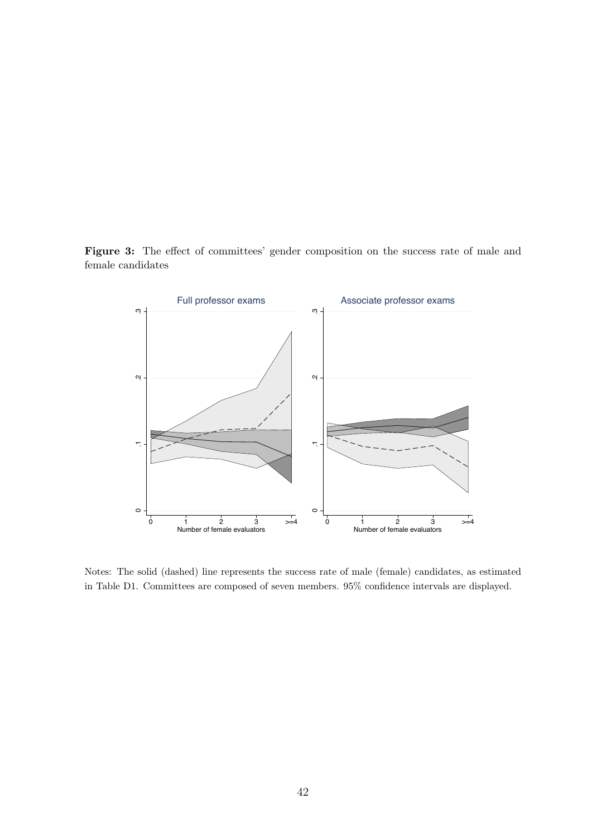Figure 3: The effect of committees' gender composition on the success rate of male and female candidates



Notes: The solid (dashed) line represents the success rate of male (female) candidates, as estimated in Table D1. Committees are composed of seven members. 95% confidence intervals are displayed.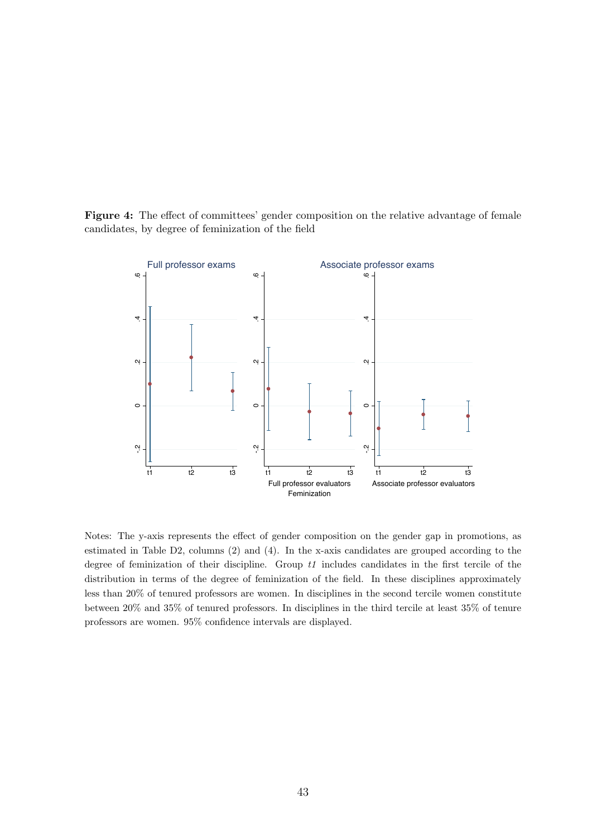



Notes: The y-axis represents the effect of gender composition on the gender gap in promotions, as estimated in Table D2, columns (2) and (4). In the x-axis candidates are grouped according to the degree of feminization of their discipline. Group  $t1$  includes candidates in the first tercile of the distribution in terms of the degree of feminization of the field. In these disciplines approximately less than 20% of tenured professors are women. In disciplines in the second tercile women constitute between 20% and 35% of tenured professors. In disciplines in the third tercile at least 35% of tenure professors are women. 95% confidence intervals are displayed.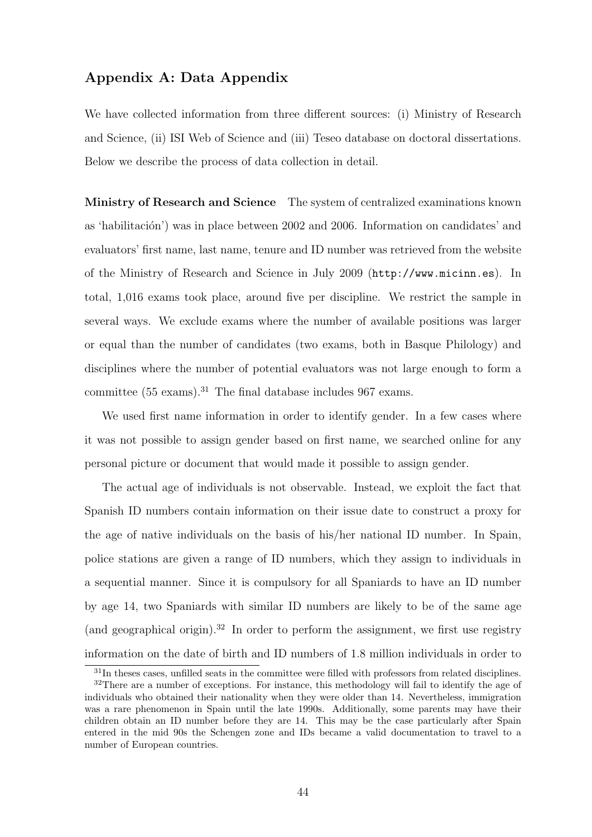## Appendix A: Data Appendix

We have collected information from three different sources: (i) Ministry of Research and Science, (ii) ISI Web of Science and (iii) Teseo database on doctoral dissertations. Below we describe the process of data collection in detail.

Ministry of Research and Science The system of centralized examinations known as 'habilitación') was in place between 2002 and 2006. Information on candidates' and evaluators' first name, last name, tenure and ID number was retrieved from the website of the Ministry of Research and Science in July 2009 (http://www.micinn.es). In total, 1,016 exams took place, around five per discipline. We restrict the sample in several ways. We exclude exams where the number of available positions was larger or equal than the number of candidates (two exams, both in Basque Philology) and disciplines where the number of potential evaluators was not large enough to form a committee  $(55 \text{ exams})^{31}$ . The final database includes 967 exams.

We used first name information in order to identify gender. In a few cases where it was not possible to assign gender based on first name, we searched online for any personal picture or document that would made it possible to assign gender.

The actual age of individuals is not observable. Instead, we exploit the fact that Spanish ID numbers contain information on their issue date to construct a proxy for the age of native individuals on the basis of his/her national ID number. In Spain, police stations are given a range of ID numbers, which they assign to individuals in a sequential manner. Since it is compulsory for all Spaniards to have an ID number by age 14, two Spaniards with similar ID numbers are likely to be of the same age (and geographical origin).<sup>32</sup> In order to perform the assignment, we first use registry information on the date of birth and ID numbers of 1.8 million individuals in order to

<sup>&</sup>lt;sup>31</sup>In theses cases, unfilled seats in the committee were filled with professors from related disciplines.

<sup>&</sup>lt;sup>32</sup>There are a number of exceptions. For instance, this methodology will fail to identify the age of individuals who obtained their nationality when they were older than 14. Nevertheless, immigration was a rare phenomenon in Spain until the late 1990s. Additionally, some parents may have their children obtain an ID number before they are 14. This may be the case particularly after Spain entered in the mid 90s the Schengen zone and IDs became a valid documentation to travel to a number of European countries.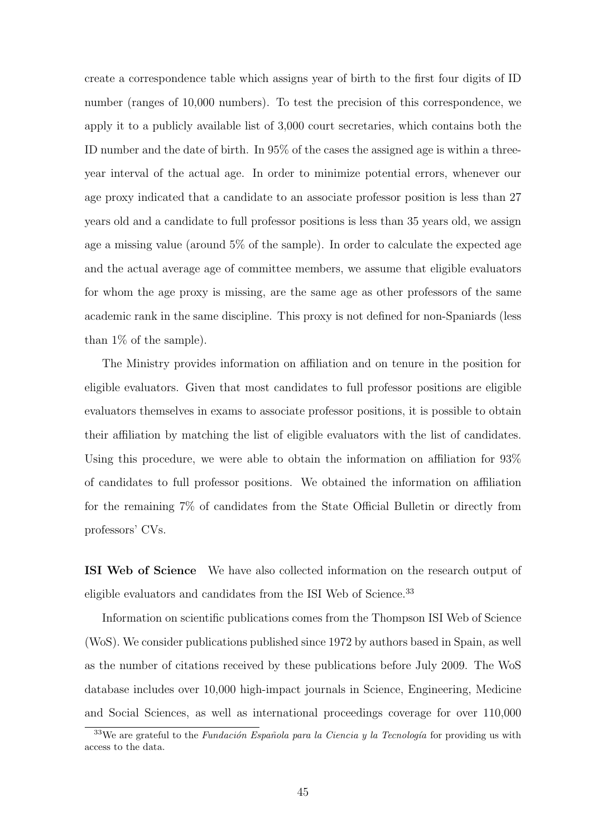create a correspondence table which assigns year of birth to the first four digits of ID number (ranges of 10,000 numbers). To test the precision of this correspondence, we apply it to a publicly available list of 3,000 court secretaries, which contains both the ID number and the date of birth. In 95% of the cases the assigned age is within a threeyear interval of the actual age. In order to minimize potential errors, whenever our age proxy indicated that a candidate to an associate professor position is less than 27 years old and a candidate to full professor positions is less than 35 years old, we assign age a missing value (around 5% of the sample). In order to calculate the expected age and the actual average age of committee members, we assume that eligible evaluators for whom the age proxy is missing, are the same age as other professors of the same academic rank in the same discipline. This proxy is not defined for non-Spaniards (less than 1% of the sample).

The Ministry provides information on affiliation and on tenure in the position for eligible evaluators. Given that most candidates to full professor positions are eligible evaluators themselves in exams to associate professor positions, it is possible to obtain their affiliation by matching the list of eligible evaluators with the list of candidates. Using this procedure, we were able to obtain the information on affiliation for 93% of candidates to full professor positions. We obtained the information on affiliation for the remaining 7% of candidates from the State Official Bulletin or directly from professors' CVs.

ISI Web of Science We have also collected information on the research output of eligible evaluators and candidates from the ISI Web of Science.<sup>33</sup>

Information on scientific publications comes from the Thompson ISI Web of Science (WoS). We consider publications published since 1972 by authors based in Spain, as well as the number of citations received by these publications before July 2009. The WoS database includes over 10,000 high-impact journals in Science, Engineering, Medicine and Social Sciences, as well as international proceedings coverage for over 110,000

 $33$ We are grateful to the *Fundación Española para la Ciencia y la Tecnología* for providing us with access to the data.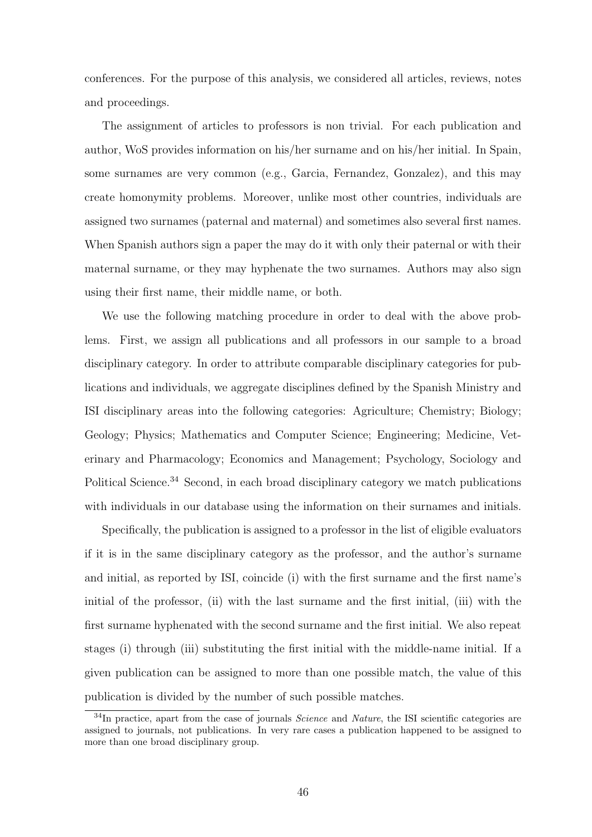conferences. For the purpose of this analysis, we considered all articles, reviews, notes and proceedings.

The assignment of articles to professors is non trivial. For each publication and author, WoS provides information on his/her surname and on his/her initial. In Spain, some surnames are very common (e.g., Garcia, Fernandez, Gonzalez), and this may create homonymity problems. Moreover, unlike most other countries, individuals are assigned two surnames (paternal and maternal) and sometimes also several first names. When Spanish authors sign a paper the may do it with only their paternal or with their maternal surname, or they may hyphenate the two surnames. Authors may also sign using their first name, their middle name, or both.

We use the following matching procedure in order to deal with the above problems. First, we assign all publications and all professors in our sample to a broad disciplinary category. In order to attribute comparable disciplinary categories for publications and individuals, we aggregate disciplines defined by the Spanish Ministry and ISI disciplinary areas into the following categories: Agriculture; Chemistry; Biology; Geology; Physics; Mathematics and Computer Science; Engineering; Medicine, Veterinary and Pharmacology; Economics and Management; Psychology, Sociology and Political Science.<sup>34</sup> Second, in each broad disciplinary category we match publications with individuals in our database using the information on their surnames and initials.

Specifically, the publication is assigned to a professor in the list of eligible evaluators if it is in the same disciplinary category as the professor, and the author's surname and initial, as reported by ISI, coincide (i) with the first surname and the first name's initial of the professor, (ii) with the last surname and the first initial, (iii) with the first surname hyphenated with the second surname and the first initial. We also repeat stages (i) through (iii) substituting the first initial with the middle-name initial. If a given publication can be assigned to more than one possible match, the value of this publication is divided by the number of such possible matches.

 $34$ In practice, apart from the case of journals *Science* and *Nature*, the ISI scientific categories are assigned to journals, not publications. In very rare cases a publication happened to be assigned to more than one broad disciplinary group.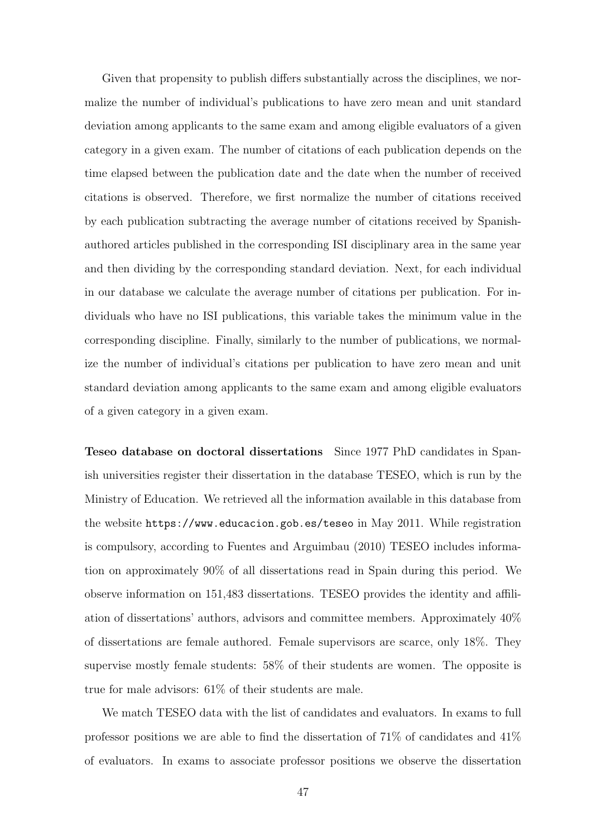Given that propensity to publish differs substantially across the disciplines, we normalize the number of individual's publications to have zero mean and unit standard deviation among applicants to the same exam and among eligible evaluators of a given category in a given exam. The number of citations of each publication depends on the time elapsed between the publication date and the date when the number of received citations is observed. Therefore, we first normalize the number of citations received by each publication subtracting the average number of citations received by Spanishauthored articles published in the corresponding ISI disciplinary area in the same year and then dividing by the corresponding standard deviation. Next, for each individual in our database we calculate the average number of citations per publication. For individuals who have no ISI publications, this variable takes the minimum value in the corresponding discipline. Finally, similarly to the number of publications, we normalize the number of individual's citations per publication to have zero mean and unit standard deviation among applicants to the same exam and among eligible evaluators of a given category in a given exam.

Teseo database on doctoral dissertations Since 1977 PhD candidates in Spanish universities register their dissertation in the database TESEO, which is run by the Ministry of Education. We retrieved all the information available in this database from the website https://www.educacion.gob.es/teseo in May 2011. While registration is compulsory, according to Fuentes and Arguimbau (2010) TESEO includes information on approximately 90% of all dissertations read in Spain during this period. We observe information on 151,483 dissertations. TESEO provides the identity and affiliation of dissertations' authors, advisors and committee members. Approximately 40% of dissertations are female authored. Female supervisors are scarce, only 18%. They supervise mostly female students: 58% of their students are women. The opposite is true for male advisors: 61% of their students are male.

We match TESEO data with the list of candidates and evaluators. In exams to full professor positions we are able to find the dissertation of 71% of candidates and 41% of evaluators. In exams to associate professor positions we observe the dissertation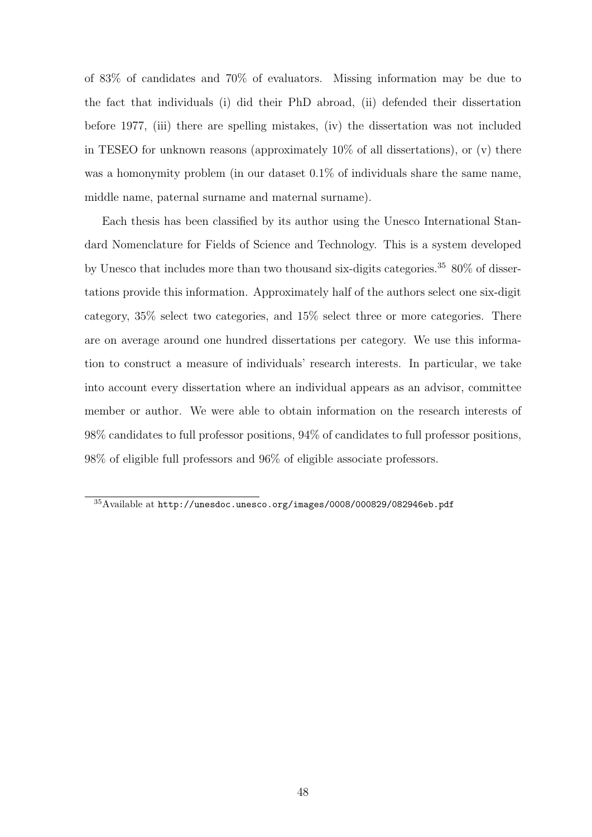of 83% of candidates and 70% of evaluators. Missing information may be due to the fact that individuals (i) did their PhD abroad, (ii) defended their dissertation before 1977, (iii) there are spelling mistakes, (iv) the dissertation was not included in TESEO for unknown reasons (approximately  $10\%$  of all dissertations), or (v) there was a homonymity problem (in our dataset  $0.1\%$  of individuals share the same name, middle name, paternal surname and maternal surname).

Each thesis has been classified by its author using the Unesco International Standard Nomenclature for Fields of Science and Technology. This is a system developed by Unesco that includes more than two thousand six-digits categories.<sup>35</sup> 80\% of dissertations provide this information. Approximately half of the authors select one six-digit category, 35% select two categories, and 15% select three or more categories. There are on average around one hundred dissertations per category. We use this information to construct a measure of individuals' research interests. In particular, we take into account every dissertation where an individual appears as an advisor, committee member or author. We were able to obtain information on the research interests of 98% candidates to full professor positions, 94% of candidates to full professor positions, 98% of eligible full professors and 96% of eligible associate professors.

<sup>35</sup>Available at http://unesdoc.unesco.org/images/0008/000829/082946eb.pdf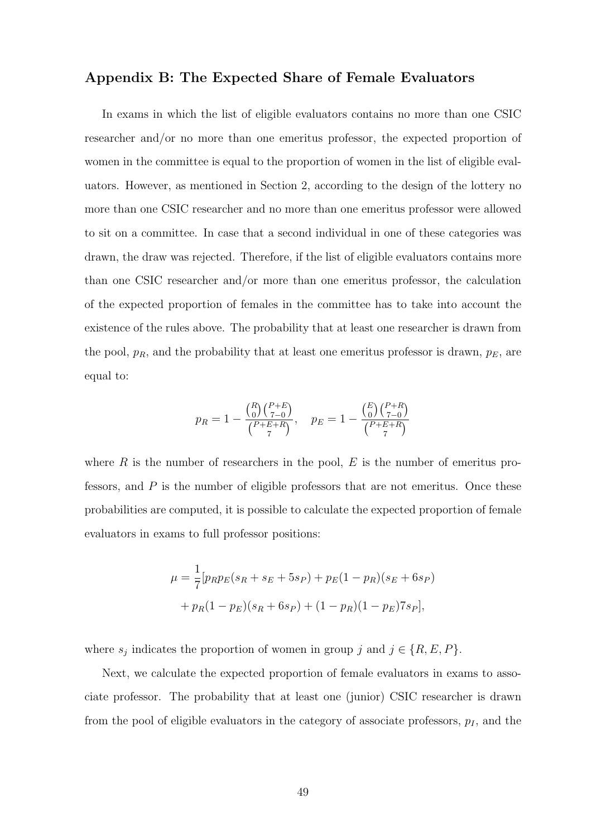## Appendix B: The Expected Share of Female Evaluators

In exams in which the list of eligible evaluators contains no more than one CSIC researcher and/or no more than one emeritus professor, the expected proportion of women in the committee is equal to the proportion of women in the list of eligible evaluators. However, as mentioned in Section 2, according to the design of the lottery no more than one CSIC researcher and no more than one emeritus professor were allowed to sit on a committee. In case that a second individual in one of these categories was drawn, the draw was rejected. Therefore, if the list of eligible evaluators contains more than one CSIC researcher and/or more than one emeritus professor, the calculation of the expected proportion of females in the committee has to take into account the existence of the rules above. The probability that at least one researcher is drawn from the pool,  $p_R$ , and the probability that at least one emeritus professor is drawn,  $p_E$ , are equal to:

$$
p_R = 1 - \frac{\binom{R}{0}\binom{P+E}{7-0}}{\binom{P+E+R}{7}}, \quad p_E = 1 - \frac{\binom{E}{0}\binom{P+R}{7-0}}{\binom{P+E+R}{7}}
$$

where  $R$  is the number of researchers in the pool,  $E$  is the number of emeritus professors, and  $P$  is the number of eligible professors that are not emeritus. Once these probabilities are computed, it is possible to calculate the expected proportion of female evaluators in exams to full professor positions:

$$
\mu = \frac{1}{7} [p_R p_E (s_R + s_E + 5s_P) + p_E (1 - p_R)(s_E + 6s_P)
$$

$$
+ p_R (1 - p_E)(s_R + 6s_P) + (1 - p_R)(1 - p_E)7s_P],
$$

where  $s_j$  indicates the proportion of women in group j and  $j \in \{R, E, P\}$ .

Next, we calculate the expected proportion of female evaluators in exams to associate professor. The probability that at least one (junior) CSIC researcher is drawn from the pool of eligible evaluators in the category of associate professors,  $p_I$ , and the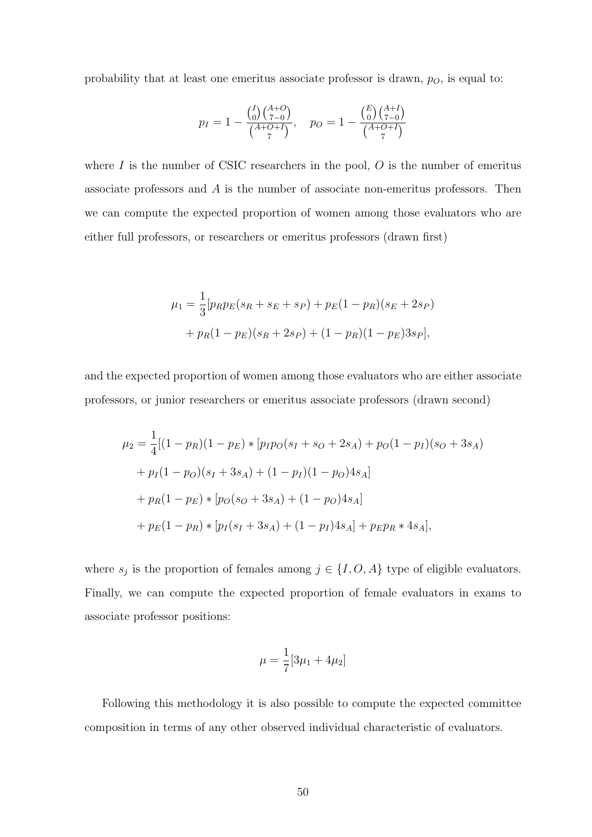probability that at least one emeritus associate professor is drawn,  $p_O$ , is equal to:

$$
p_I = 1 - \frac{{\binom{I}{0}} {\binom{A+O}{7-0}}}{\binom{A+O+I}{7}}, \quad p_O = 1 - \frac{{\binom{E}{0}} {\binom{A+I}{7-0}}}{\binom{A+O+I}{7}}
$$

where  $I$  is the number of CSIC researchers in the pool,  $O$  is the number of emeritus associate professors and A is the number of associate non-emeritus professors. Then we can compute the expected proportion of women among those evaluators who are either full professors, or researchers or emeritus professors (drawn first)

$$
\mu_1 = \frac{1}{3} [p_R p_E(s_R + s_E + s_P) + p_E(1 - p_R)(s_E + 2s_P)
$$
  
+  $p_R(1 - p_E)(s_R + 2s_P) + (1 - p_R)(1 - p_E)3s_P],$ 

and the expected proportion of women among those evaluators who are either associate professors, or junior researchers or emeritus associate professors (drawn second)

$$
\mu_2 = \frac{1}{4}[(1 - p_R)(1 - p_E) * [p_I p_O(s_I + s_O + 2s_A) + p_O(1 - p_I)(s_O + 3s_A)
$$
  
+  $p_I(1 - p_O)(s_I + 3s_A) + (1 - p_I)(1 - p_O)4s_A]$   
+  $p_R(1 - p_E) * [p_O(s_O + 3s_A) + (1 - p_O)4s_A]$   
+  $p_E(1 - p_R) * [p_I(s_I + 3s_A) + (1 - p_I)4s_A] + p_E p_R * 4s_A],$ 

where  $s_j$  is the proportion of females among  $j \in \{I, O, A\}$  type of eligible evaluators. Finally, we can compute the expected proportion of female evaluators in exams to associate professor positions:

$$
\mu = \frac{1}{7} [3\mu_1 + 4\mu_2]
$$

Following this methodology it is also possible to compute the expected committee composition in terms of any other observed individual characteristic of evaluators.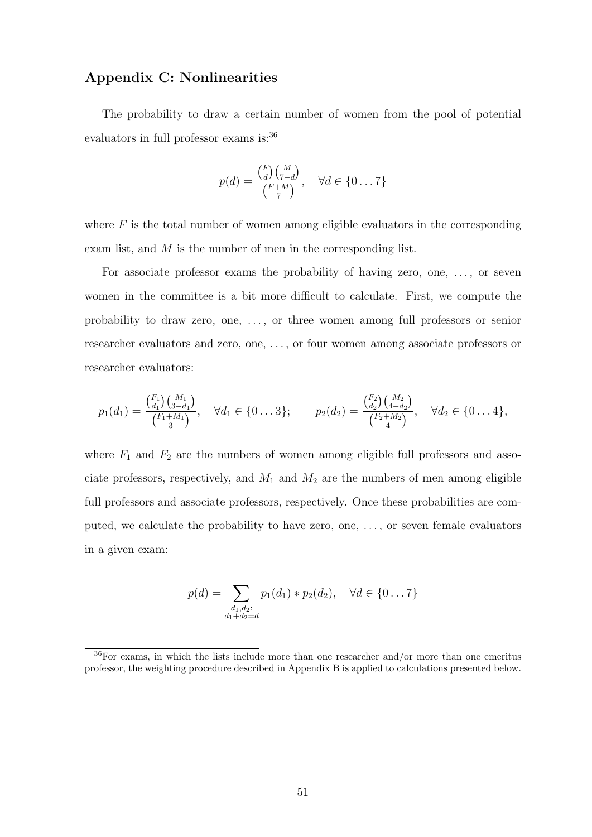## Appendix C: Nonlinearities

The probability to draw a certain number of women from the pool of potential evaluators in full professor exams is:<sup>36</sup>

$$
p(d) = \frac{\binom{F}{d}\binom{M}{7-d}}{\binom{F+M}{7}}, \quad \forall d \in \{0 \dots 7\}
$$

where  $F$  is the total number of women among eligible evaluators in the corresponding exam list, and  $M$  is the number of men in the corresponding list.

For associate professor exams the probability of having zero, one, . . . , or seven women in the committee is a bit more difficult to calculate. First, we compute the probability to draw zero, one, . . . , or three women among full professors or senior researcher evaluators and zero, one, . . . , or four women among associate professors or researcher evaluators:

$$
p_1(d_1) = \frac{\binom{F_1}{d_1}\binom{M_1}{3-d_1}}{\binom{F_1+M_1}{3}}, \quad \forall d_1 \in \{0 \dots 3\}; \qquad p_2(d_2) = \frac{\binom{F_2}{d_2}\binom{M_2}{4-d_2}}{\binom{F_2+M_2}{4}}, \quad \forall d_2 \in \{0 \dots 4\},
$$

where  $F_1$  and  $F_2$  are the numbers of women among eligible full professors and associate professors, respectively, and  $M_1$  and  $M_2$  are the numbers of men among eligible full professors and associate professors, respectively. Once these probabilities are computed, we calculate the probability to have zero, one, . . . , or seven female evaluators in a given exam:

$$
p(d) = \sum_{\substack{d_1, d_2:\\d_1 + d_2 = d}} p_1(d_1) * p_2(d_2), \quad \forall d \in \{0 \dots 7\}
$$

<sup>36</sup>For exams, in which the lists include more than one researcher and/or more than one emeritus professor, the weighting procedure described in Appendix B is applied to calculations presented below.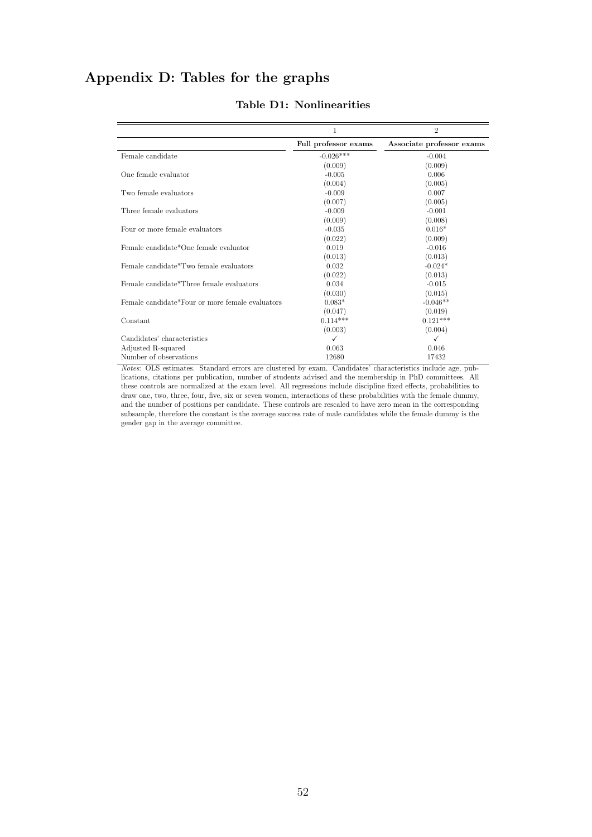## Appendix D: Tables for the graphs

|                                                 | 1                    | $\overline{2}$            |
|-------------------------------------------------|----------------------|---------------------------|
|                                                 | Full professor exams | Associate professor exams |
| Female candidate                                | $-0.026***$          | $-0.004$                  |
|                                                 | (0.009)              | (0.009)                   |
| One female evaluator                            | $-0.005$             | 0.006                     |
|                                                 | (0.004)              | (0.005)                   |
| Two female evaluators                           | $-0.009$             | 0.007                     |
|                                                 | (0.007)              | (0.005)                   |
| Three female evaluators                         | $-0.009$             | $-0.001$                  |
|                                                 | (0.009)              | (0.008)                   |
| Four or more female evaluators                  | $-0.035$             | $0.016*$                  |
|                                                 | (0.022)              | (0.009)                   |
| Female candidate*One female evaluator           | 0.019                | $-0.016$                  |
|                                                 | (0.013)              | (0.013)                   |
| Female candidate*Two female evaluators          | 0.032                | $-0.024*$                 |
|                                                 | (0.022)              | (0.013)                   |
| Female candidate*Three female evaluators        | 0.034                | $-0.015$                  |
|                                                 | (0.030)              | (0.015)                   |
| Female candidate*Four or more female evaluators | $0.083*$             | $-0.046**$                |
|                                                 | (0.047)              | (0.019)                   |
| Constant                                        | $0.114***$           | $0.121***$                |
|                                                 | (0.003)              | (0.004)                   |
| Candidates' characteristics                     | ✓                    | ✓                         |
| Adjusted R-squared                              | 0.063                | 0.046                     |
| Number of observations                          | 12680                | 17432                     |

### Table D1: Nonlinearities

Notes: OLS estimates. Standard errors are clustered by exam. Candidates' characteristics include age, publications, citations per publication, number of students advised and the membership in PhD committees. All these controls are normalized at the exam level. All regressions include discipline fixed effects, probabilities to draw one, two, three, four, five, six or seven women, interactions of these probabilities with the female dummy, and the number of positions per candidate. These controls are rescaled to have zero mean in the corresponding subsample, therefore the constant is the average success rate of male candidates while the female dummy is the gender gap in the average committee.